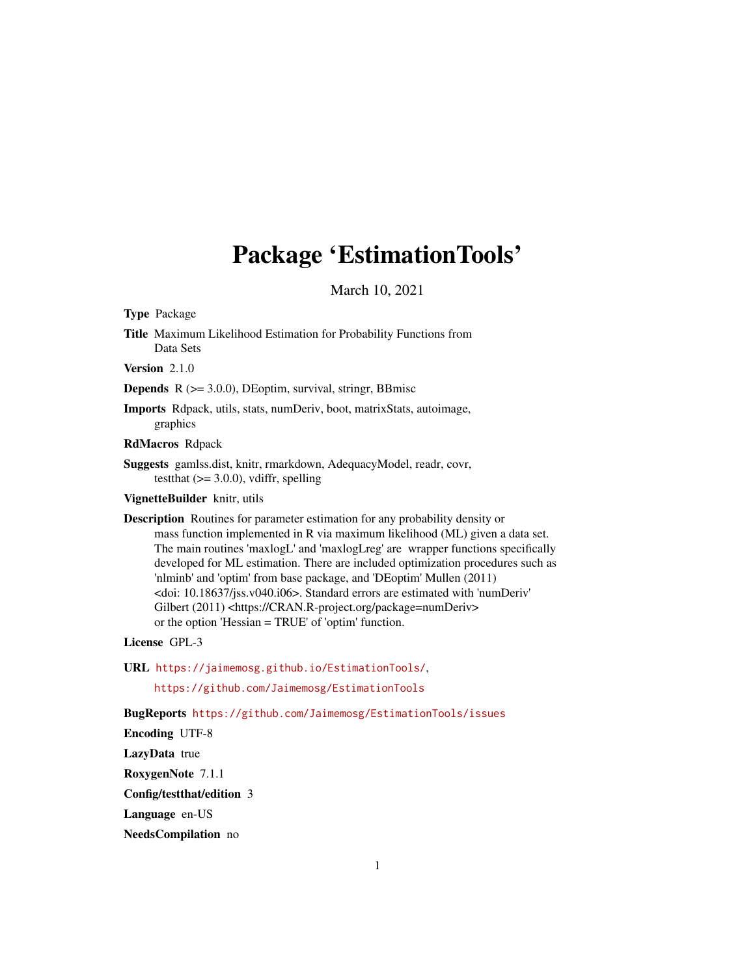## Package 'EstimationTools'

March 10, 2021

<span id="page-0-0"></span>Type Package

Title Maximum Likelihood Estimation for Probability Functions from Data Sets

Version 2.1.0

Depends R (>= 3.0.0), DEoptim, survival, stringr, BBmisc

Imports Rdpack, utils, stats, numDeriv, boot, matrixStats, autoimage, graphics

RdMacros Rdpack

Suggests gamlss.dist, knitr, rmarkdown, AdequacyModel, readr, covr, testthat  $(>= 3.0.0)$ , vdiffr, spelling

VignetteBuilder knitr, utils

Description Routines for parameter estimation for any probability density or mass function implemented in R via maximum likelihood (ML) given a data set. The main routines 'maxlogL' and 'maxlogLreg' are wrapper functions specifically developed for ML estimation. There are included optimization procedures such as 'nlminb' and 'optim' from base package, and 'DEoptim' Mullen (2011) <doi: 10.18637/jss.v040.i06>. Standard errors are estimated with 'numDeriv' Gilbert (2011) <https://CRAN.R-project.org/package=numDeriv> or the option 'Hessian = TRUE' of 'optim' function.

License GPL-3

URL <https://jaimemosg.github.io/EstimationTools/>,

<https://github.com/Jaimemosg/EstimationTools>

BugReports <https://github.com/Jaimemosg/EstimationTools/issues>

Encoding UTF-8

LazyData true

RoxygenNote 7.1.1

Config/testthat/edition 3

Language en-US

NeedsCompilation no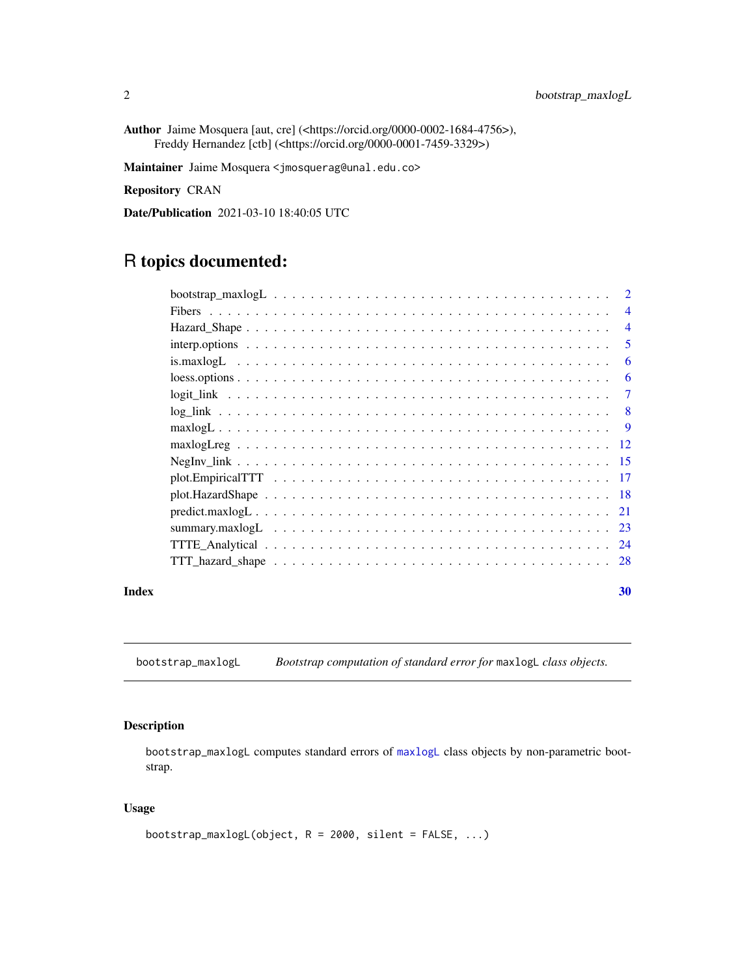<span id="page-1-0"></span>Author Jaime Mosquera [aut, cre] (<https://orcid.org/0000-0002-1684-4756>), Freddy Hernandez [ctb] (<https://orcid.org/0000-0001-7459-3329>)

Maintainer Jaime Mosquera <jmosquerag@unal.edu.co>

Repository CRAN

Date/Publication 2021-03-10 18:40:05 UTC

## R topics documented:

| $\mathcal{D}$                                                                                                    |
|------------------------------------------------------------------------------------------------------------------|
| $\overline{4}$                                                                                                   |
| $\overline{4}$                                                                                                   |
| 5                                                                                                                |
| 6                                                                                                                |
| 6                                                                                                                |
| 7                                                                                                                |
| 8                                                                                                                |
| <b>9</b>                                                                                                         |
| -12                                                                                                              |
| -15                                                                                                              |
| $plot. Empirical TTT \dots \dots \dots \dots \dots \dots \dots \dots \dots \dots \dots \dots \dots \dots$<br>-17 |
|                                                                                                                  |
|                                                                                                                  |
| -23                                                                                                              |
| -24                                                                                                              |
| 28                                                                                                               |
|                                                                                                                  |

## $\bf 30$  $\bf 30$

<span id="page-1-1"></span>bootstrap\_maxlogL *Bootstrap computation of standard error for* maxlogL *class objects.*

## Description

bootstrap\_maxlogL computes standard errors of [maxlogL](#page-8-1) class objects by non-parametric bootstrap.

## Usage

```
bootstrap_maxlogL(object, R = 2000, silent = FALSE, ...)
```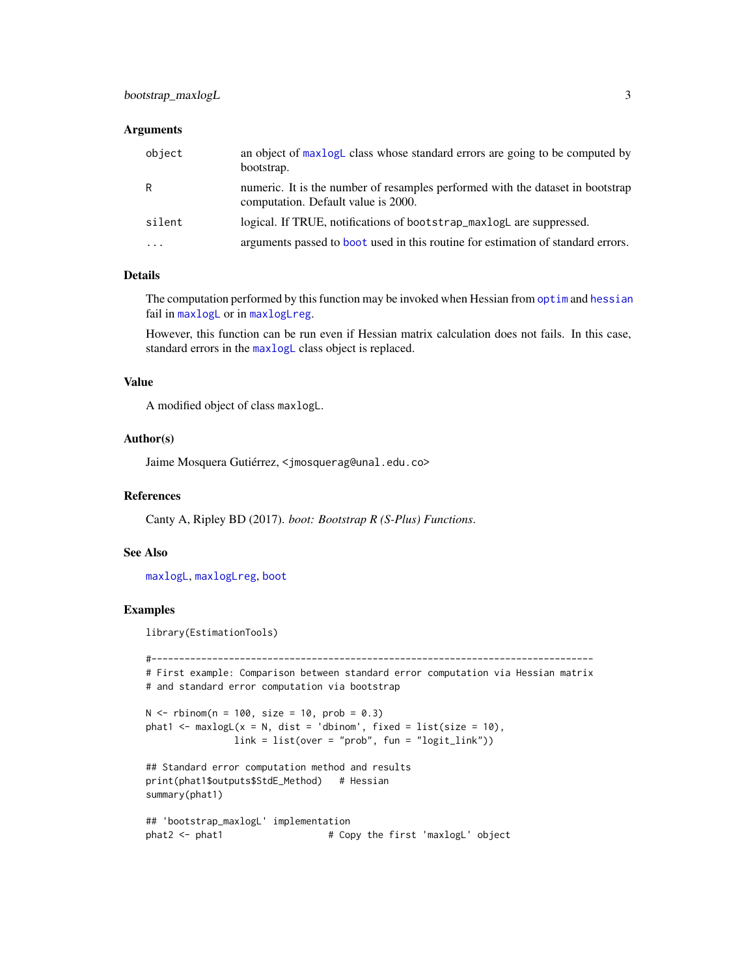#### <span id="page-2-0"></span>**Arguments**

| object   | an object of maxlogL class whose standard errors are going to be computed by<br>bootstrap.                            |
|----------|-----------------------------------------------------------------------------------------------------------------------|
| R        | numeric. It is the number of resamples performed with the dataset in bootstrap<br>computation. Default value is 2000. |
| silent   | logical. If TRUE, notifications of bootstrap_maxlogL are suppressed.                                                  |
| $\cdots$ | arguments passed to boot used in this routine for estimation of standard errors.                                      |

#### Details

The computation performed by this function may be invoked when Hessian from [optim](#page-0-0) and [hessian](#page-0-0) fail in [maxlogL](#page-8-1) or in [maxlogLreg](#page-11-1).

However, this function can be run even if Hessian matrix calculation does not fails. In this case, standard errors in the [maxlogL](#page-8-1) class object is replaced.

## Value

A modified object of class maxlogL.

#### Author(s)

Jaime Mosquera Gutiérrez, <jmosquerag@unal.edu.co>

## References

Canty A, Ripley BD (2017). *boot: Bootstrap R (S-Plus) Functions*.

#### See Also

[maxlogL](#page-8-1), [maxlogLreg](#page-11-1), [boot](#page-0-0)

## Examples

library(EstimationTools)

```
#--------------------------------------------------------------------------------
# First example: Comparison between standard error computation via Hessian matrix
# and standard error computation via bootstrap
N < - rbinom(n = 100, size = 10, prob = 0.3)
phat1 <- maxlogL(x = N, dist = 'dbinom', fixed = list(size = 10),
               link = list(over = "prob", fun = "logit\_link"))## Standard error computation method and results
print(phat1$outputs$StdE_Method) # Hessian
summary(phat1)
## 'bootstrap_maxlogL' implementation
phat2 <- phat1 \qquad # Copy the first 'maxlogL' object
```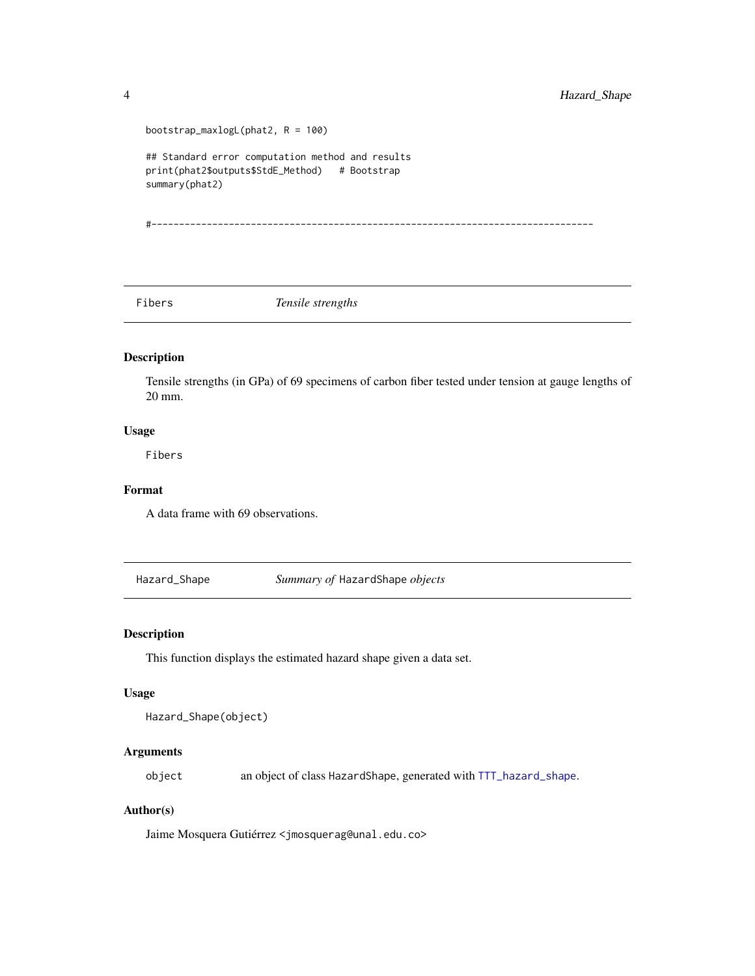```
bootstrap_maxlogL(phat2, R = 100)
## Standard error computation method and results
print(phat2$outputs$StdE_Method) # Bootstrap
summary(phat2)
```
#--------------------------------------------------------------------------------

Fibers *Tensile strengths*

## Description

Tensile strengths (in GPa) of 69 specimens of carbon fiber tested under tension at gauge lengths of 20 mm.

## Usage

Fibers

#### Format

A data frame with 69 observations.

<span id="page-3-1"></span>Hazard\_Shape *Summary of* HazardShape *objects*

## Description

This function displays the estimated hazard shape given a data set.

#### Usage

```
Hazard_Shape(object)
```
## Arguments

object an object of class HazardShape, generated with [TTT\\_hazard\\_shape](#page-27-1).

#### Author(s)

Jaime Mosquera Gutiérrez <jmosquerag@unal.edu.co>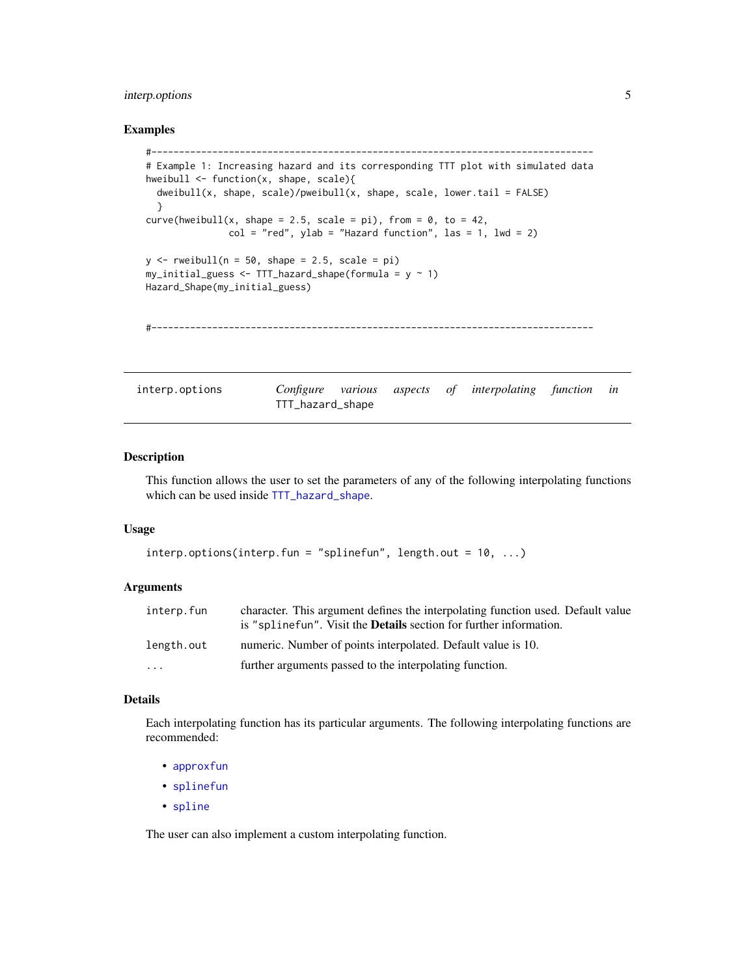## <span id="page-4-0"></span>interp.options 5

#### Examples

```
#--------------------------------------------------------------------------------
 # Example 1: Increasing hazard and its corresponding TTT plot with simulated data
 hweibull <- function(x, shape, scale){
   dweibull(x, shape, scale)/pweibull(x, shape, scale, lower.tail = FALSE)
   }
 curve(hweibull(x, shape = 2.5, scale = pi), from = 0, to = 42,
                col = "red", ylab = "Hazard function", las = 1, lwd = 2)y \le - rweibull(n = 50, shape = 2.5, scale = pi)
 my\_initial\_guess \leftarrow TTT\_hazard\_shape(formula = y \sim 1)Hazard_Shape(my_initial_guess)
 #--------------------------------------------------------------------------------
interp.options Configure various aspects of interpolating function in
```
#### <span id="page-4-1"></span>Description

This function allows the user to set the parameters of any of the following interpolating functions which can be used inside [TTT\\_hazard\\_shape](#page-27-1).

## Usage

```
interp.options(interp.fun = "splinefun", length.out = 10, ...)
```
TTT\_hazard\_shape

#### **Arguments**

| interp.fun | character. This argument defines the interpolating function used. Default value<br>is "splinefun". Visit the <b>Details</b> section for further information. |
|------------|--------------------------------------------------------------------------------------------------------------------------------------------------------------|
| length.out | numeric. Number of points interpolated. Default value is 10.                                                                                                 |
| $\ddotsc$  | further arguments passed to the interpolating function.                                                                                                      |

## Details

Each interpolating function has its particular arguments. The following interpolating functions are recommended:

- [approxfun](#page-0-0)
- [splinefun](#page-0-0)
- [spline](#page-0-0)

The user can also implement a custom interpolating function.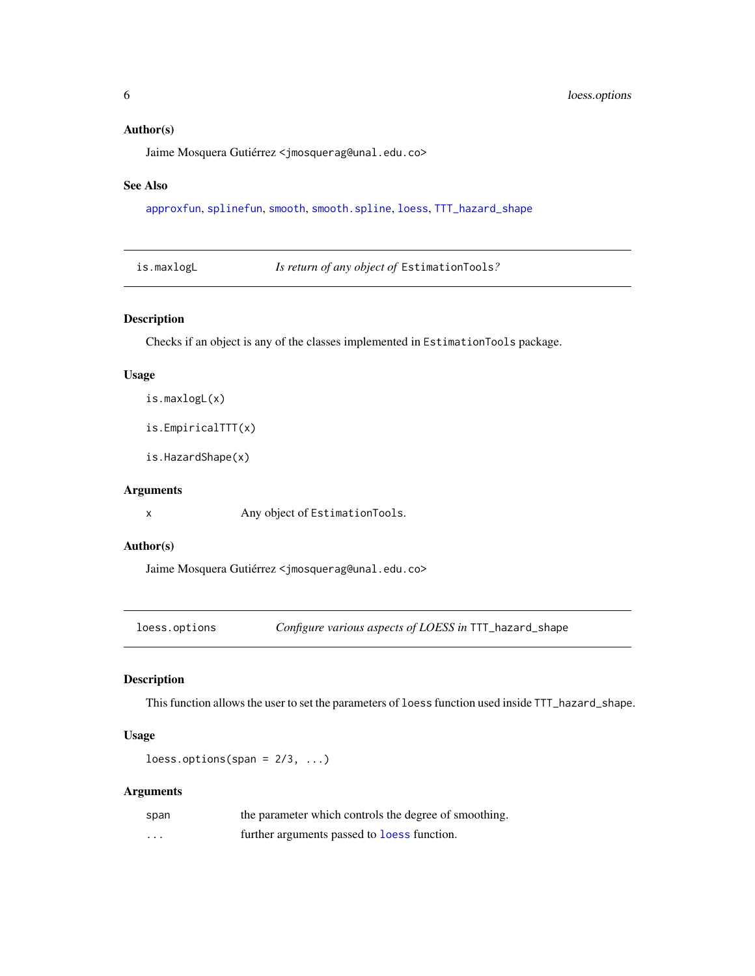#### <span id="page-5-0"></span>Author(s)

Jaime Mosquera Gutiérrez <jmosquerag@unal.edu.co>

#### See Also

[approxfun](#page-0-0), [splinefun](#page-0-0), [smooth](#page-0-0), [smooth.spline](#page-0-0), [loess](#page-0-0), [TTT\\_hazard\\_shape](#page-27-1)

| is.maxlogL |  |
|------------|--|
|            |  |

Is return of any object of EstimationTools?

## Description

Checks if an object is any of the classes implemented in EstimationTools package.

#### Usage

```
is.maxlogL(x)
```
is.EmpiricalTTT(x)

is.HazardShape(x)

#### Arguments

x Any object of EstimationTools.

#### Author(s)

Jaime Mosquera Gutiérrez <jmosquerag@unal.edu.co>

<span id="page-5-1"></span>loess.options *Configure various aspects of LOESS in* TTT\_hazard\_shape

## Description

This function allows the user to set the parameters of loess function used inside TTT\_hazard\_shape.

## Usage

 $less.$ options(span =  $2/3, ...$ )

## Arguments

| span | the parameter which controls the degree of smoothing. |
|------|-------------------------------------------------------|
| .    | further arguments passed to <b>loess</b> function.    |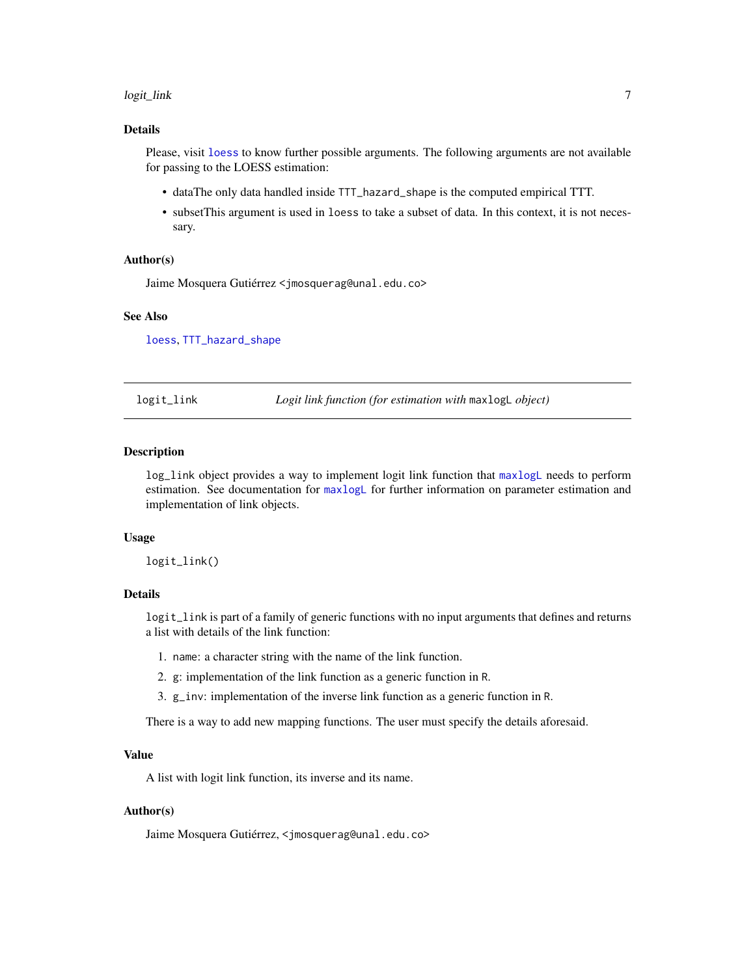#### <span id="page-6-0"></span>logit\_link 7

## Details

Please, visit [loess](#page-0-0) to know further possible arguments. The following arguments are not available for passing to the LOESS estimation:

- dataThe only data handled inside TTT\_hazard\_shape is the computed empirical TTT.
- subsetThis argument is used in loess to take a subset of data. In this context, it is not necessary.

#### Author(s)

Jaime Mosquera Gutiérrez <jmosquerag@unal.edu.co>

#### See Also

[loess](#page-0-0), [TTT\\_hazard\\_shape](#page-27-1)

<span id="page-6-1"></span>logit\_link *Logit link function (for estimation with* maxlogL *object)*

#### Description

log\_link object provides a way to implement logit link function that [maxlogL](#page-8-1) needs to perform estimation. See documentation for [maxlogL](#page-8-1) for further information on parameter estimation and implementation of link objects.

#### Usage

logit\_link()

#### Details

logit\_link is part of a family of generic functions with no input arguments that defines and returns a list with details of the link function:

- 1. name: a character string with the name of the link function.
- 2. g: implementation of the link function as a generic function in R.
- 3. g\_inv: implementation of the inverse link function as a generic function in R.

There is a way to add new mapping functions. The user must specify the details aforesaid.

#### Value

A list with logit link function, its inverse and its name.

#### Author(s)

Jaime Mosquera Gutiérrez, <jmosquerag@unal.edu.co>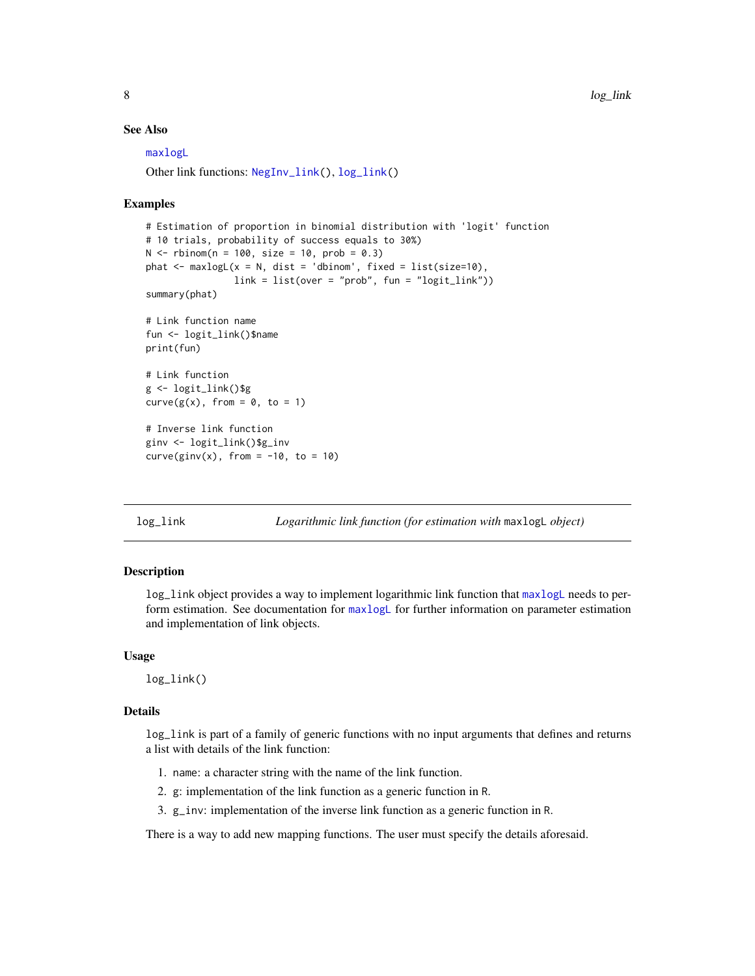#### <span id="page-7-0"></span>See Also

[maxlogL](#page-8-1)

Other link functions: [NegInv\\_link\(](#page-14-1)), [log\\_link\(](#page-7-1))

#### Examples

```
# Estimation of proportion in binomial distribution with 'logit' function
# 10 trials, probability of success equals to 30%)
N < - rbinom(n = 100, size = 10, prob = 0.3)
phat \leq maxlogL(x = N, dist = 'dbinom', fixed = list(size=10),
                link = list(over = "prob", fun = "logit\_link"))summary(phat)
# Link function name
fun <- logit_link()$name
print(fun)
# Link function
g <- logit_link()$g
curve(g(x), from = 0, to = 1)# Inverse link function
ginv <- logit_link()$g_inv
curve(ginv(x), from = -10, to = 10)
```
<span id="page-7-1"></span>log\_link *Logarithmic link function (for estimation with* maxlogL *object)*

#### Description

log\_link object provides a way to implement logarithmic link function that [maxlogL](#page-8-1) needs to perform estimation. See documentation for [maxlogL](#page-8-1) for further information on parameter estimation and implementation of link objects.

#### Usage

log\_link()

## Details

log\_link is part of a family of generic functions with no input arguments that defines and returns a list with details of the link function:

- 1. name: a character string with the name of the link function.
- 2. g: implementation of the link function as a generic function in R.
- 3. g\_inv: implementation of the inverse link function as a generic function in R.

There is a way to add new mapping functions. The user must specify the details aforesaid.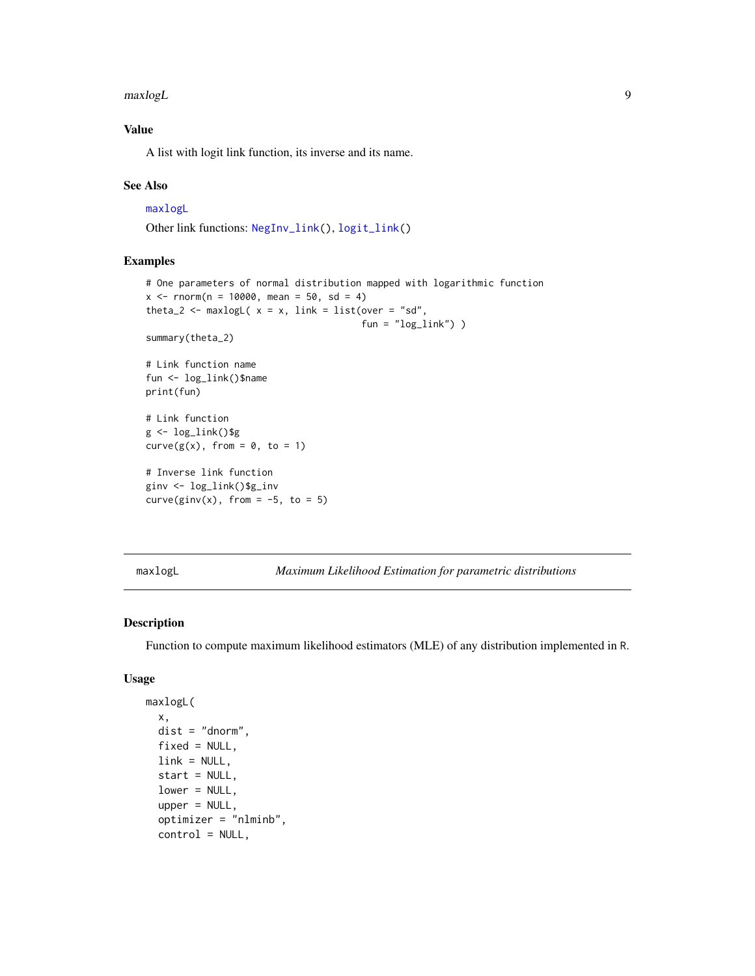<span id="page-8-0"></span> $maxlog L$  9

## Value

A list with logit link function, its inverse and its name.

#### See Also

#### [maxlogL](#page-8-1)

Other link functions: [NegInv\\_link\(](#page-14-1)), [logit\\_link\(](#page-6-1))

#### Examples

```
# One parameters of normal distribution mapped with logarithmic function
x \le - rnorm(n = 10000, mean = 50, sd = 4)
theta_2 <- maxlogL(x = x, link = list(over = "sd",
                                         fun = "log\_link") )
summary(theta_2)
# Link function name
fun <- log_link()$name
print(fun)
# Link function
g \leftarrow \text{log\_link}()$g
curve(g(x), from = 0, to = 1)# Inverse link function
ginv <- log_link()$g_inv
curve(ginv(x), from = -5, to = 5)
```
<span id="page-8-1"></span>maxlogL *Maximum Likelihood Estimation for parametric distributions*

## Description

Function to compute maximum likelihood estimators (MLE) of any distribution implemented in R.

#### Usage

```
maxlogL(
  x,
  dist = "dnorm",
  fixed = NULL,
  link = NULL,start = NULL,
  lower = NULL,
  upper = NULL,optimizer = "nlminb",
  control = NULL,
```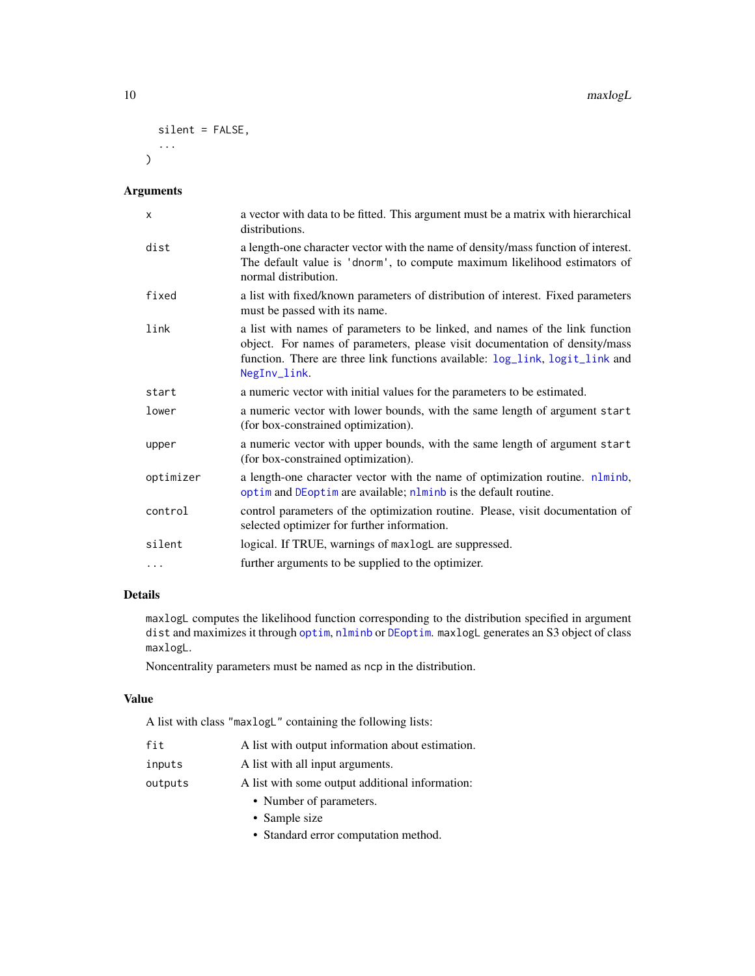#### <span id="page-9-0"></span>10 maxlogL

```
silent = FALSE,
   ...
\mathcal{L}
```
#### Arguments

| X         | a vector with data to be fitted. This argument must be a matrix with hierarchical<br>distributions.                                                                                                                                                         |
|-----------|-------------------------------------------------------------------------------------------------------------------------------------------------------------------------------------------------------------------------------------------------------------|
| dist      | a length-one character vector with the name of density/mass function of interest.<br>The default value is 'dnorm', to compute maximum likelihood estimators of<br>normal distribution.                                                                      |
| fixed     | a list with fixed/known parameters of distribution of interest. Fixed parameters<br>must be passed with its name.                                                                                                                                           |
| link      | a list with names of parameters to be linked, and names of the link function<br>object. For names of parameters, please visit documentation of density/mass<br>function. There are three link functions available: log_link, logit_link and<br>NegInv_link. |
| start     | a numeric vector with initial values for the parameters to be estimated.                                                                                                                                                                                    |
| lower     | a numeric vector with lower bounds, with the same length of argument start<br>(for box-constrained optimization).                                                                                                                                           |
| upper     | a numeric vector with upper bounds, with the same length of argument start<br>(for box-constrained optimization).                                                                                                                                           |
| optimizer | a length-one character vector with the name of optimization routine. nlminb,<br>optim and DEoptim are available; nlminb is the default routine.                                                                                                             |
| control   | control parameters of the optimization routine. Please, visit documentation of<br>selected optimizer for further information.                                                                                                                               |
| silent    | logical. If TRUE, warnings of maxlogL are suppressed.                                                                                                                                                                                                       |
| .         | further arguments to be supplied to the optimizer.                                                                                                                                                                                                          |

## Details

maxlogL computes the likelihood function corresponding to the distribution specified in argument dist and maximizes it through [optim](#page-0-0), [nlminb](#page-0-0) or [DEoptim](#page-0-0). maxlogL generates an S3 object of class maxlogL.

Noncentrality parameters must be named as ncp in the distribution.

#### Value

A list with class "maxlogL" containing the following lists:

| fit<br>A list with output information about estimation. |  |
|---------------------------------------------------------|--|
|---------------------------------------------------------|--|

- inputs A list with all input arguments.
- outputs A list with some output additional information:
	- Number of parameters.
	- Sample size
	- Standard error computation method.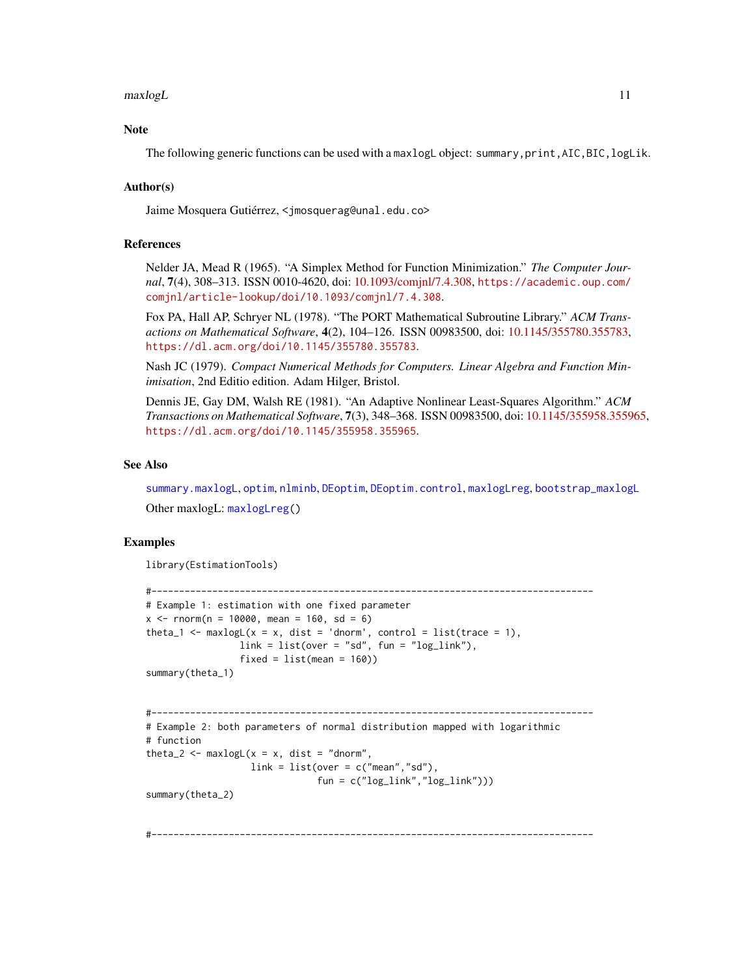<span id="page-10-0"></span> $maxlog L$  11

## **Note**

The following generic functions can be used with a maxlogL object: summary, print, AIC, BIC, logLik.

#### Author(s)

Jaime Mosquera Gutiérrez, <jmosquerag@unal.edu.co>

#### References

Nelder JA, Mead R (1965). "A Simplex Method for Function Minimization." *The Computer Journal*, 7(4), 308–313. ISSN 0010-4620, doi: [10.1093/comjnl/7.4.308,](https://doi.org/10.1093/comjnl/7.4.308) [https://academic.oup.com/](https://academic.oup.com/comjnl/article-lookup/doi/10.1093/comjnl/7.4.308) [comjnl/article-lookup/doi/10.1093/comjnl/7.4.308](https://academic.oup.com/comjnl/article-lookup/doi/10.1093/comjnl/7.4.308).

Fox PA, Hall AP, Schryer NL (1978). "The PORT Mathematical Subroutine Library." *ACM Transactions on Mathematical Software*, 4(2), 104–126. ISSN 00983500, doi: [10.1145/355780.355783,](https://doi.org/10.1145/355780.355783) <https://dl.acm.org/doi/10.1145/355780.355783>.

Nash JC (1979). *Compact Numerical Methods for Computers. Linear Algebra and Function Minimisation*, 2nd Editio edition. Adam Hilger, Bristol.

Dennis JE, Gay DM, Walsh RE (1981). "An Adaptive Nonlinear Least-Squares Algorithm." *ACM Transactions on Mathematical Software*, 7(3), 348–368. ISSN 00983500, doi: [10.1145/355958.355965,](https://doi.org/10.1145/355958.355965) <https://dl.acm.org/doi/10.1145/355958.355965>.

#### See Also

[summary.maxlogL](#page-22-1), [optim](#page-0-0), [nlminb](#page-0-0), [DEoptim](#page-0-0), [DEoptim.control](#page-0-0), [maxlogLreg](#page-11-1), [bootstrap\\_maxlogL](#page-1-1) Other maxlogL: [maxlogLreg\(](#page-11-1))

#### Examples

```
library(EstimationTools)
```

```
#--------------------------------------------------------------------------------
# Example 1: estimation with one fixed parameter
x \le - rnorm(n = 10000, mean = 160, sd = 6)
theta_1 <- maxlogL(x = x, dist = 'dnorm', control = list(trace = 1),
                 link = list(over = "sd", fun = "log_link"),
                 fixed = list(mean = 160))summary(theta_1)
```

```
#--------------------------------------------------------------------------------
# Example 2: both parameters of normal distribution mapped with logarithmic
# function
theta_2 <- maxlogL(x = x, dist = "dnorm",link = list(over = c("mean", "sd"),
                               fun = c("log_link","log_link")))
```
summary(theta\_2)

#--------------------------------------------------------------------------------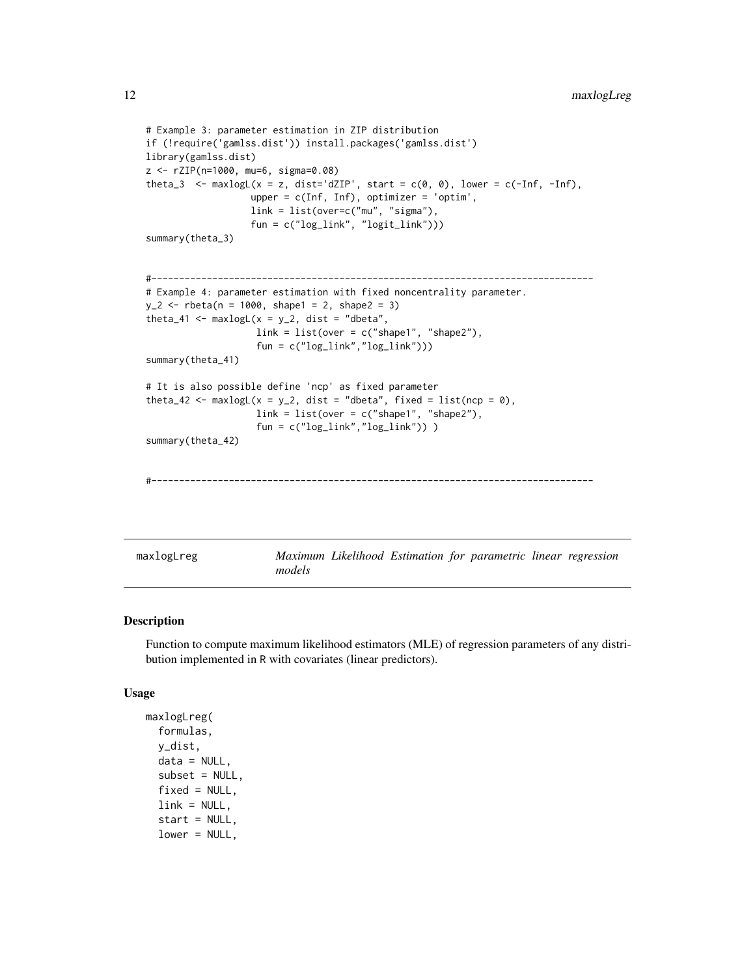```
# Example 3: parameter estimation in ZIP distribution
if (!require('gamlss.dist')) install.packages('gamlss.dist')
library(gamlss.dist)
z <- rZIP(n=1000, mu=6, sigma=0.08)
theta_3 <- maxlogL(x = z, dist='dZIP', start = c(0, 0), lower = c(-Inf, -Inf),
                   upper = c(Inf, Inf), optimizer = 'optim',
                   link = list(over=c("mu", "sigma"),
                   fun = c("log_link", "logit_link")))
summary(theta_3)
#--------------------------------------------------------------------------------
# Example 4: parameter estimation with fixed noncentrality parameter.
y_2 < - rbeta(n = 1000, shape1 = 2, shape2 = 3)
theta_41 <- maxlogL(x = y_2, dist = "dbeta",link = list(over = c("shape1", "shape2"),
                    fun = c("log_link","log_link")))
summary(theta_41)
# It is also possible define 'ncp' as fixed parameter
theta_42 <- maxlogL(x = y_2, dist = "dbeta", fixed = list(ncp = 0),link = list(over = c("shape1", "shape2"),fun = c("log_link","log_link")) )
summary(theta_42)
```

```
#--------------------------------------------------------------------------------
```
<span id="page-11-1"></span>maxlogLreg *Maximum Likelihood Estimation for parametric linear regression models*

#### Description

Function to compute maximum likelihood estimators (MLE) of regression parameters of any distribution implemented in R with covariates (linear predictors).

#### Usage

```
maxlogLreg(
  formulas,
  y_dist,
  data = NULL,subset = NULL,
  fixed = NULL,
  link = NULL,start = NULL,
  lower = NULL,
```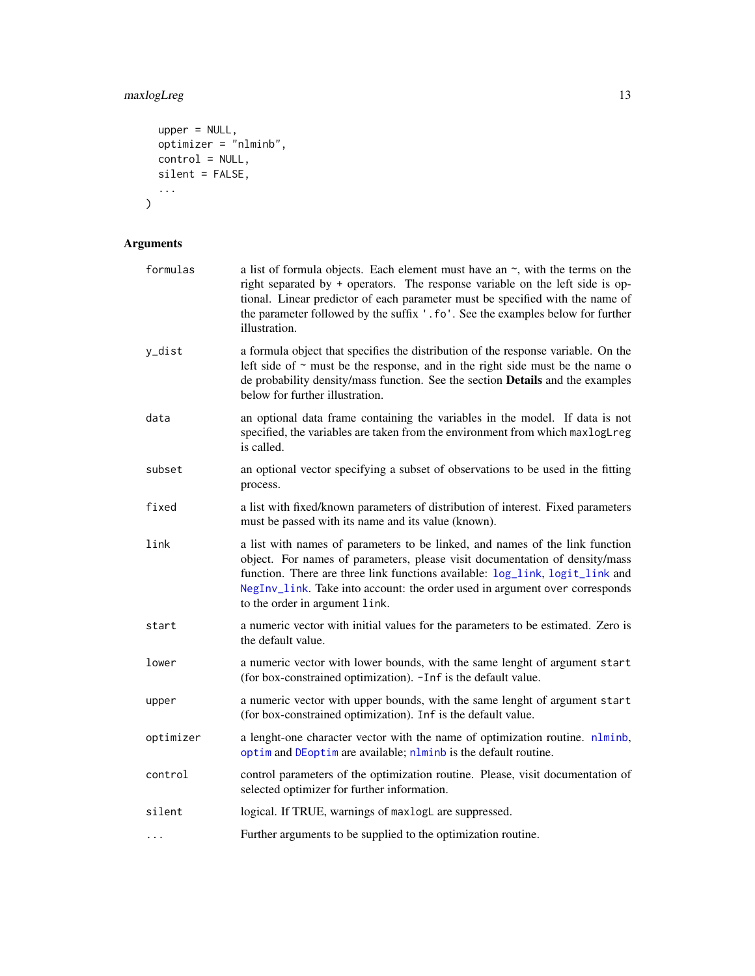## <span id="page-12-0"></span>maxlogLreg 13

```
upper = NULL,
   optimizer = "nlminb",
  control = NULL,
  silent = FALSE,...
\sum_{i=1}^{n}
```
## Arguments

| formulas  | a list of formula objects. Each element must have an $\sim$ , with the terms on the<br>right separated by + operators. The response variable on the left side is op-<br>tional. Linear predictor of each parameter must be specified with the name of<br>the parameter followed by the suffix '.fo'. See the examples below for further<br>illustration.     |
|-----------|--------------------------------------------------------------------------------------------------------------------------------------------------------------------------------------------------------------------------------------------------------------------------------------------------------------------------------------------------------------|
| y_dist    | a formula object that specifies the distribution of the response variable. On the<br>left side of $\sim$ must be the response, and in the right side must be the name o<br>de probability density/mass function. See the section Details and the examples<br>below for further illustration.                                                                 |
| data      | an optional data frame containing the variables in the model. If data is not<br>specified, the variables are taken from the environment from which maxlogLreg<br>is called.                                                                                                                                                                                  |
| subset    | an optional vector specifying a subset of observations to be used in the fitting<br>process.                                                                                                                                                                                                                                                                 |
| fixed     | a list with fixed/known parameters of distribution of interest. Fixed parameters<br>must be passed with its name and its value (known).                                                                                                                                                                                                                      |
| link      | a list with names of parameters to be linked, and names of the link function<br>object. For names of parameters, please visit documentation of density/mass<br>function. There are three link functions available: log_link, logit_link and<br>NegInv_link. Take into account: the order used in argument over corresponds<br>to the order in argument link. |
| start     | a numeric vector with initial values for the parameters to be estimated. Zero is<br>the default value.                                                                                                                                                                                                                                                       |
| lower     | a numeric vector with lower bounds, with the same lenght of argument start<br>(for box-constrained optimization). -Inf is the default value.                                                                                                                                                                                                                 |
| upper     | a numeric vector with upper bounds, with the same lenght of argument start<br>(for box-constrained optimization). Inf is the default value.                                                                                                                                                                                                                  |
| optimizer | a lenght-one character vector with the name of optimization routine. nlminb,<br>optim and DEoptim are available; nlminb is the default routine.                                                                                                                                                                                                              |
| control   | control parameters of the optimization routine. Please, visit documentation of<br>selected optimizer for further information.                                                                                                                                                                                                                                |
| silent    | logical. If TRUE, warnings of maxlogL are suppressed.                                                                                                                                                                                                                                                                                                        |
| $\cdots$  | Further arguments to be supplied to the optimization routine.                                                                                                                                                                                                                                                                                                |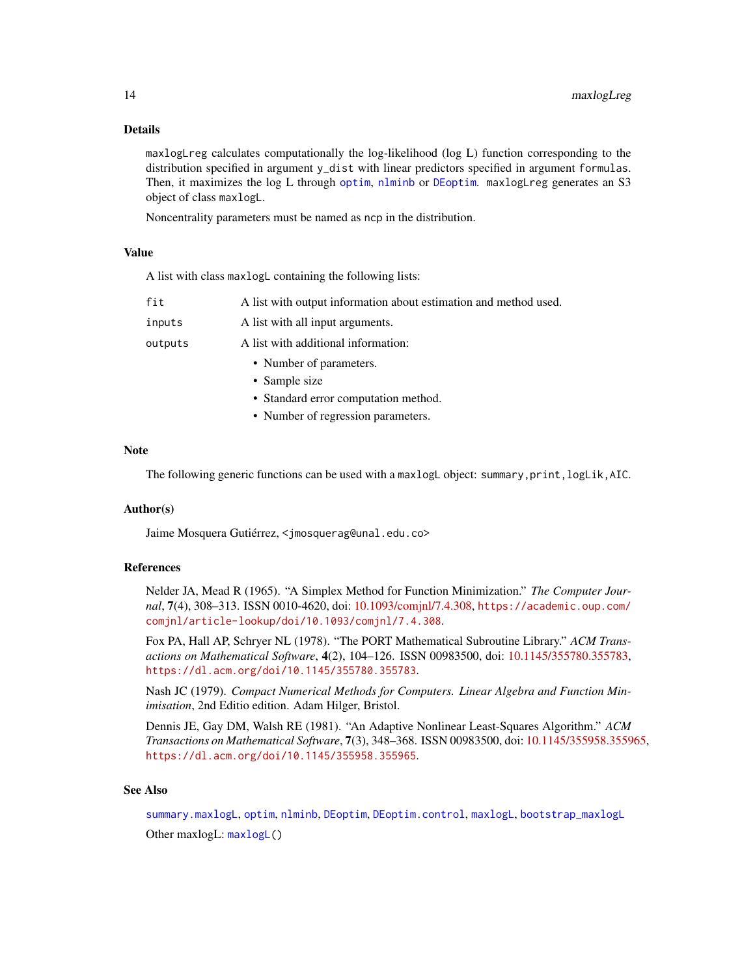#### Details

maxlogLreg calculates computationally the log-likelihood (log L) function corresponding to the distribution specified in argument y\_dist with linear predictors specified in argument formulas. Then, it maximizes the log L through [optim](#page-0-0), [nlminb](#page-0-0) or [DEoptim](#page-0-0). maxlogLreg generates an S3 object of class maxlogL.

Noncentrality parameters must be named as ncp in the distribution.

#### Value

A list with class maxlogL containing the following lists:

| fit     | A list with output information about estimation and method used. |
|---------|------------------------------------------------------------------|
| inputs  | A list with all input arguments.                                 |
| outputs | A list with additional information:                              |
|         | • Number of parameters.                                          |
|         | • Sample size                                                    |
|         | • Standard error computation method.                             |
|         | $\mathbf{r}$ 1 $\mathbf{r}$                                      |

• Number of regression parameters.

## Note

The following generic functions can be used with a maxlogL object: summary,print,logLik,AIC.

#### Author(s)

Jaime Mosquera Gutiérrez, <jmosquerag@unal.edu.co>

#### References

Nelder JA, Mead R (1965). "A Simplex Method for Function Minimization." *The Computer Journal*, 7(4), 308–313. ISSN 0010-4620, doi: [10.1093/comjnl/7.4.308,](https://doi.org/10.1093/comjnl/7.4.308) [https://academic.oup.com/](https://academic.oup.com/comjnl/article-lookup/doi/10.1093/comjnl/7.4.308) [comjnl/article-lookup/doi/10.1093/comjnl/7.4.308](https://academic.oup.com/comjnl/article-lookup/doi/10.1093/comjnl/7.4.308).

Fox PA, Hall AP, Schryer NL (1978). "The PORT Mathematical Subroutine Library." *ACM Transactions on Mathematical Software*, 4(2), 104–126. ISSN 00983500, doi: [10.1145/355780.355783,](https://doi.org/10.1145/355780.355783) <https://dl.acm.org/doi/10.1145/355780.355783>.

Nash JC (1979). *Compact Numerical Methods for Computers. Linear Algebra and Function Minimisation*, 2nd Editio edition. Adam Hilger, Bristol.

Dennis JE, Gay DM, Walsh RE (1981). "An Adaptive Nonlinear Least-Squares Algorithm." *ACM Transactions on Mathematical Software*, 7(3), 348–368. ISSN 00983500, doi: [10.1145/355958.355965,](https://doi.org/10.1145/355958.355965) <https://dl.acm.org/doi/10.1145/355958.355965>.

#### See Also

[summary.maxlogL](#page-22-1), [optim](#page-0-0), [nlminb](#page-0-0), [DEoptim](#page-0-0), [DEoptim.control](#page-0-0), [maxlogL](#page-8-1), [bootstrap\\_maxlogL](#page-1-1) Other maxlogL: [maxlogL\(](#page-8-1))

<span id="page-13-0"></span>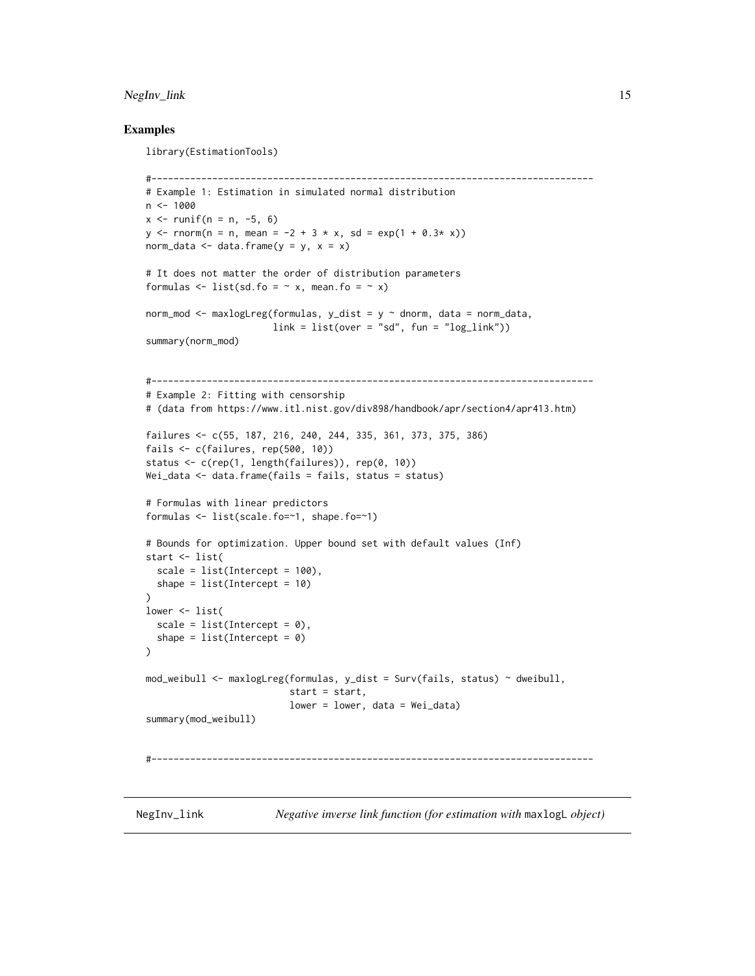## <span id="page-14-0"></span>NegInv\_link 15

#### Examples

library(EstimationTools)

```
#--------------------------------------------------------------------------------
# Example 1: Estimation in simulated normal distribution
n < -1000x \le runif(n = n, -5, 6)
y \le - rnorm(n = n, mean = -2 + 3 * x, sd = exp(1 + 0.3* x))
norm_data \leq data.frame(y = y, x = x)
# It does not matter the order of distribution parameters
formulas \le list(sd.fo = \sim x, mean.fo = \sim x)
norm_mod <- maxlogLreg(formulas, y_dist = y \sim dnorm, data = norm_data,
                       link = list(over = "sd", fun = "log\_link"))summary(norm_mod)
#--------------------------------------------------------------------------------
# Example 2: Fitting with censorship
# (data from https://www.itl.nist.gov/div898/handbook/apr/section4/apr413.htm)
failures <- c(55, 187, 216, 240, 244, 335, 361, 373, 375, 386)
fails <- c(failures, rep(500, 10))
status <- c(rep(1, length(failures)), rep(0, 10))
Wei_data <- data.frame(fails = fails, status = status)
# Formulas with linear predictors
formulas <- list(scale.fo=~1, shape.fo=~1)
# Bounds for optimization. Upper bound set with default values (Inf)
start <- list(
  scale = list(Intercept = 100),
  shape = list(Intercept = 10)\lambdalower <- list(
  scale = list(Intercept = \theta),
  shape = list(Intercept = 0))
mod_weibull <- maxlogLreg(formulas, y_dist = Surv(fails, status) ~ dweibull,
                          start = start,
                          lower = lower, data = Wei_data)
summary(mod_weibull)
#--------------------------------------------------------------------------------
```
<span id="page-14-1"></span>NegInv\_link *Negative inverse link function (for estimation with* maxlogL *object)*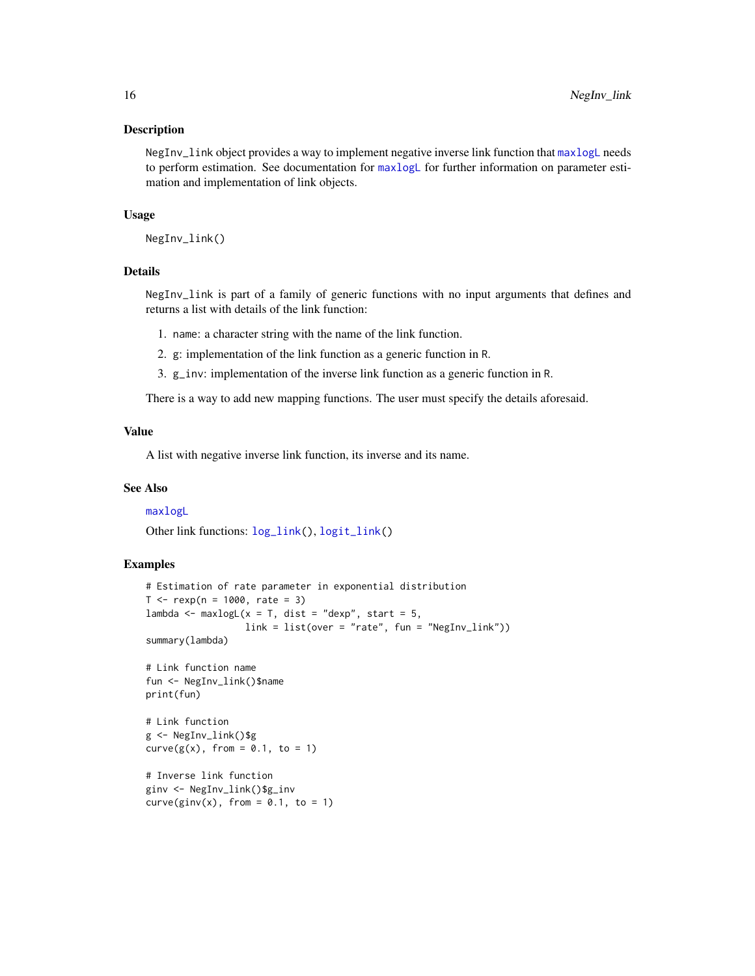#### <span id="page-15-0"></span>Description

NegInv\_link object provides a way to implement negative inverse link function that [maxlogL](#page-8-1) needs to perform estimation. See documentation for  $maxlogL$  for further information on parameter estimation and implementation of link objects.

#### Usage

NegInv\_link()

## Details

NegInv\_link is part of a family of generic functions with no input arguments that defines and returns a list with details of the link function:

- 1. name: a character string with the name of the link function.
- 2. g: implementation of the link function as a generic function in R.
- 3. g\_inv: implementation of the inverse link function as a generic function in R.

There is a way to add new mapping functions. The user must specify the details aforesaid.

#### Value

A list with negative inverse link function, its inverse and its name.

#### See Also

#### [maxlogL](#page-8-1)

Other link functions: [log\\_link\(](#page-7-1)), [logit\\_link\(](#page-6-1))

#### Examples

```
# Estimation of rate parameter in exponential distribution
T < - rexp(n = 1000, rate = 3)
lambda <- maxlogL(x = T, dist = "dexp", start = 5,
                  link = list(over = "rate", fun = "NegInv_link"))
summary(lambda)
# Link function name
fun <- NegInv_link()$name
print(fun)
# Link function
g <- NegInv_link()$g
curve(g(x), from = 0.1, to = 1)# Inverse link function
ginv <- NegInv_link()$g_inv
curve(ginv(x), from = 0.1, to = 1)
```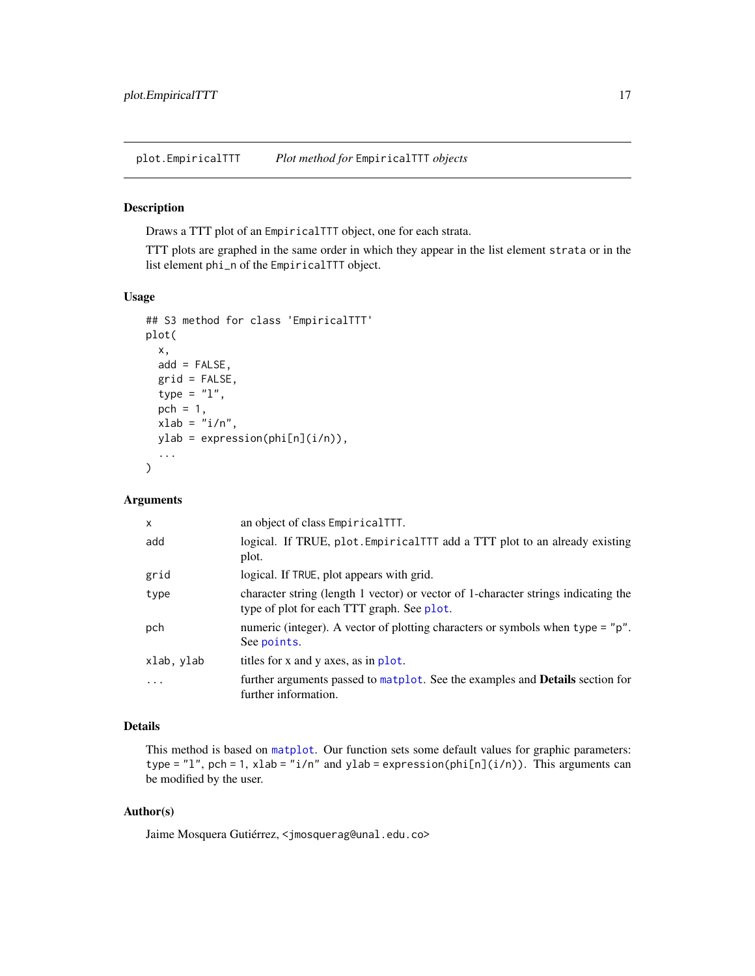<span id="page-16-1"></span><span id="page-16-0"></span>plot.EmpiricalTTT *Plot method for* EmpiricalTTT *objects*

#### Description

Draws a TTT plot of an EmpiricalTTT object, one for each strata.

TTT plots are graphed in the same order in which they appear in the list element strata or in the list element phi\_n of the EmpiricalTTT object.

## Usage

```
## S3 method for class 'EmpiricalTTT'
plot(
  x,
  add = FALSE,grid = FALSE,
  type = "1",pch = 1,
  xlab = "i/n",
 ylab = expression(phi[n](i/n)),
  ...
\mathcal{L}
```
## Arguments

| $\times$   | an object of class EmpiricalTTT.                                                                                                 |
|------------|----------------------------------------------------------------------------------------------------------------------------------|
| add        | logical. If TRUE, plot. Empirical TTT add a TTT plot to an already existing<br>plot.                                             |
| grid       | logical. If TRUE, plot appears with grid.                                                                                        |
| type       | character string (length 1 vector) or vector of 1-character strings indicating the<br>type of plot for each TTT graph. See plot. |
| pch        | numeric (integer). A vector of plotting characters or symbols when type = "p".<br>See points.                                    |
| xlab, ylab | titles for x and y axes, as in plot.                                                                                             |
| $\cdot$    | further arguments passed to matplot. See the examples and <b>Details</b> section for<br>further information.                     |

## Details

This method is based on [matplot](#page-0-0). Our function sets some default values for graphic parameters: type = "1", pch = 1, xlab = "i/n" and ylab = expression(phi[n](i/n)). This arguments can be modified by the user.

## Author(s)

Jaime Mosquera Gutiérrez, <jmosquerag@unal.edu.co>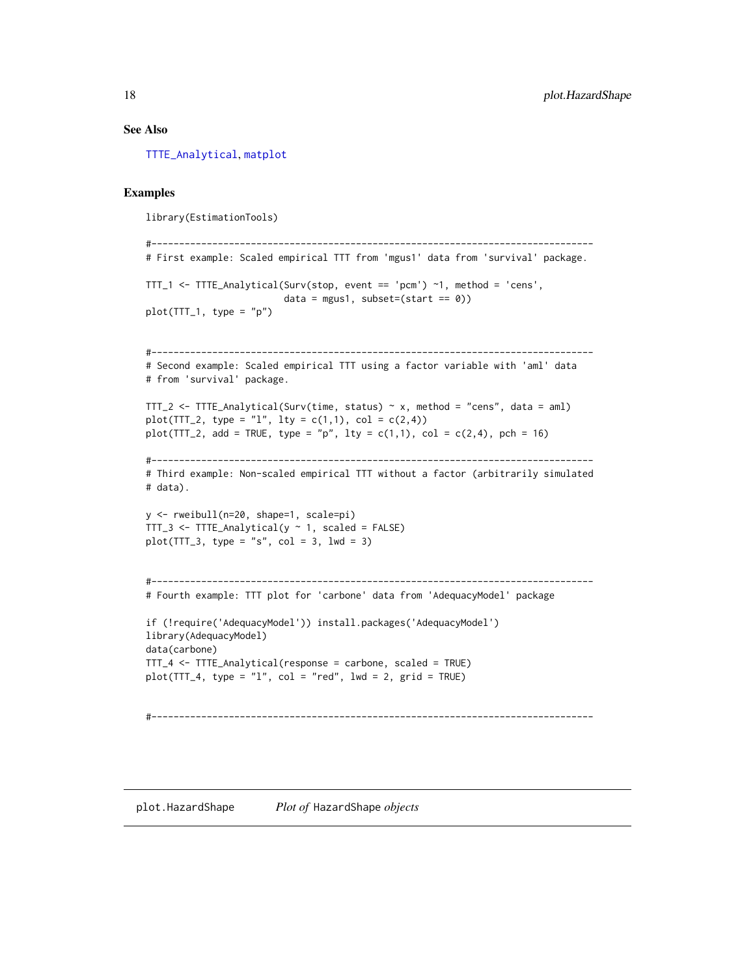#### See Also

[TTTE\\_Analytical](#page-23-1), [matplot](#page-0-0)

#### Examples

library(EstimationTools)

```
#--------------------------------------------------------------------------------
# First example: Scaled empirical TTT from 'mgus1' data from 'survival' package.
TTT_1 <- TTTE_Analytical(Surv(stop, event == 'pcm') ~1, method = 'cens',
                         data = mgus1, subset=(start == 0))
plot(TTT_1, type = "p")#--------------------------------------------------------------------------------
# Second example: Scaled empirical TTT using a factor variable with 'aml' data
# from 'survival' package.
TTT_2 <- TTTE_Analytical(Surv(time, status) ~ x, method = "cens", data = aml)
plot(TTT_2, type = "l", lty = c(1,1), col = c(2,4))plot(TTT_2, add = TRUE, type = "p", lty = c(1,1), col = c(2,4), pch = 16)#--------------------------------------------------------------------------------
# Third example: Non-scaled empirical TTT without a factor (arbitrarily simulated
# data).
y <- rweibull(n=20, shape=1, scale=pi)
TTT_3 \leftarrow TTE\_Analytical(y \sim 1, scaled = FALSE)plot(TTT_3, type = "s", col = 3, lwd = 3)#--------------------------------------------------------------------------------
# Fourth example: TTT plot for 'carbone' data from 'AdequacyModel' package
if (!require('AdequacyModel')) install.packages('AdequacyModel')
library(AdequacyModel)
data(carbone)
TTT_4 <- TTTE_Analytical(response = carbone, scaled = TRUE)
plot(TTT_4, type = "l", col = "red", lwd = 2, grid = TRUE)#--------------------------------------------------------------------------------
```
<span id="page-17-1"></span>plot.HazardShape *Plot of* HazardShape *objects*

<span id="page-17-0"></span>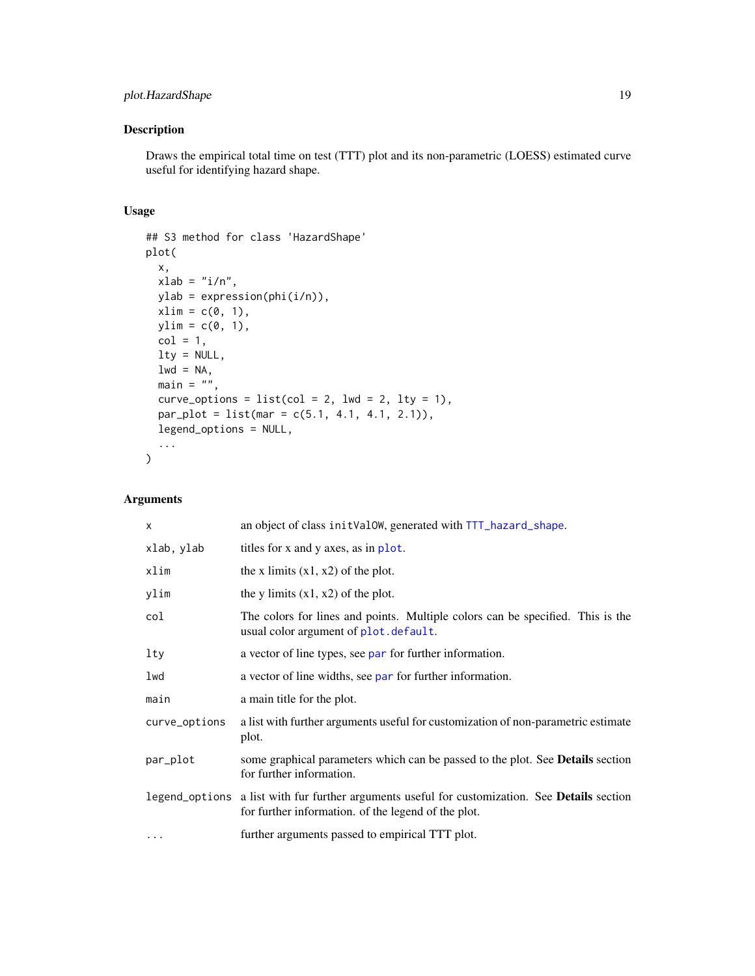## <span id="page-18-0"></span>plot.HazardShape 19

## Description

Draws the empirical total time on test (TTT) plot and its non-parametric (LOESS) estimated curve useful for identifying hazard shape.

## Usage

```
## S3 method for class 'HazardShape'
plot(
 x,
 xlab = "i/n",
 ylab = expression(phi(i/n)),
 xlim = c(0, 1),ylim = c(0, 1),col = 1,
 lty = NULL,
 lwd = NA,
 main = "",curve_options = list(col = 2, lwd = 2, lty = 1),
 par_plot = list(mar = c(5.1, 4.1, 4.1, 2.1)),
 legend_options = NULL,
  ...
)
```
## Arguments

| X             | an object of class init Valow, generated with TTT_hazard_shape.                                                                                              |
|---------------|--------------------------------------------------------------------------------------------------------------------------------------------------------------|
| xlab, ylab    | titles for x and y axes, as in plot.                                                                                                                         |
| xlim          | the x limits $(x1, x2)$ of the plot.                                                                                                                         |
| ylim          | the y limits $(x1, x2)$ of the plot.                                                                                                                         |
| col           | The colors for lines and points. Multiple colors can be specified. This is the<br>usual color argument of plot.default.                                      |
| lty           | a vector of line types, see par for further information.                                                                                                     |
| lwd           | a vector of line widths, see par for further information.                                                                                                    |
| main          | a main title for the plot.                                                                                                                                   |
| curve_options | a list with further arguments useful for customization of non-parametric estimate<br>plot.                                                                   |
| par_plot      | some graphical parameters which can be passed to the plot. See <b>Details</b> section<br>for further information.                                            |
|               | legend_options a list with fur further arguments useful for customization. See <b>Details</b> section<br>for further information. of the legend of the plot. |
| $\cdots$      | further arguments passed to empirical TTT plot.                                                                                                              |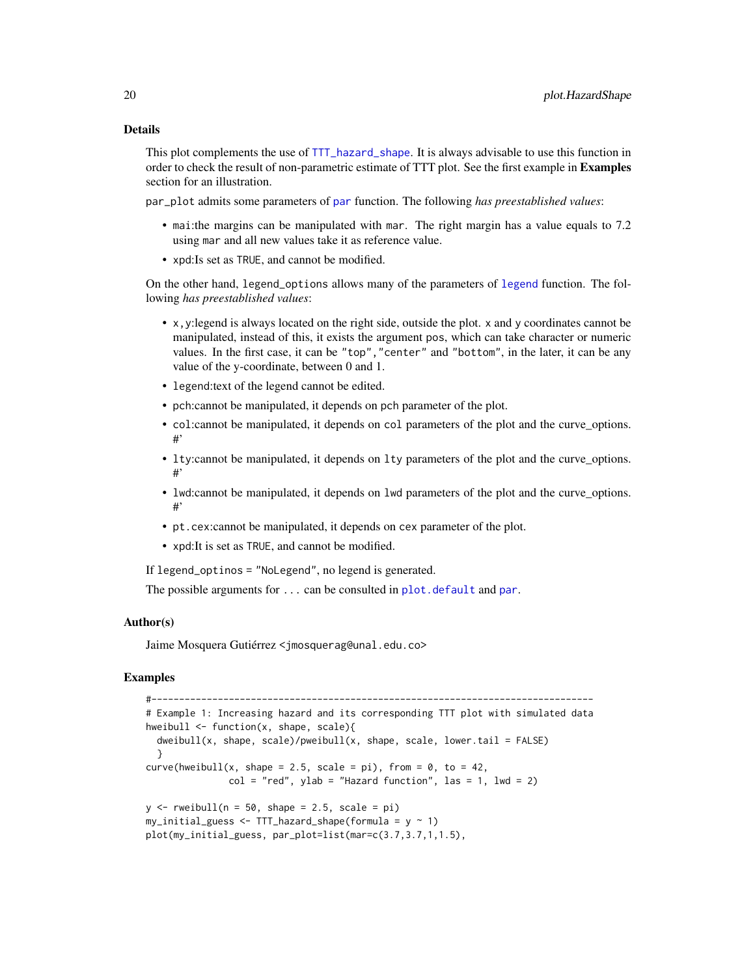#### <span id="page-19-0"></span>Details

This plot complements the use of [TTT\\_hazard\\_shape](#page-27-1). It is always advisable to use this function in order to check the result of non-parametric estimate of TTT plot. See the first example in Examples section for an illustration.

par\_plot admits some parameters of [par](#page-0-0) function. The following *has preestablished values*:

- mai:the margins can be manipulated with mar. The right margin has a value equals to 7.2 using mar and all new values take it as reference value.
- xpd:Is set as TRUE, and cannot be modified.

On the other hand, legend\_options allows many of the parameters of [legend](#page-0-0) function. The following *has preestablished values*:

- x,y:legend is always located on the right side, outside the plot. x and y coordinates cannot be manipulated, instead of this, it exists the argument pos, which can take character or numeric values. In the first case, it can be "top","center" and "bottom", in the later, it can be any value of the y-coordinate, between 0 and 1.
- legend:text of the legend cannot be edited.
- pch:cannot be manipulated, it depends on pch parameter of the plot.
- col:cannot be manipulated, it depends on col parameters of the plot and the curve\_options. #'
- lty:cannot be manipulated, it depends on lty parameters of the plot and the curve\_options. #'
- lwd:cannot be manipulated, it depends on lwd parameters of the plot and the curve\_options. #'
- pt.cex:cannot be manipulated, it depends on cex parameter of the plot.
- xpd:It is set as TRUE, and cannot be modified.

If legend\_optinos = "NoLegend", no legend is generated.

The possible arguments for  $\dots$  can be consulted in [plot.default](#page-0-0) and [par](#page-0-0).

#### Author(s)

Jaime Mosquera Gutiérrez <jmosquerag@unal.edu.co>

#### Examples

```
#--------------------------------------------------------------------------------
# Example 1: Increasing hazard and its corresponding TTT plot with simulated data
hweibull <- function(x, shape, scale){
 dweibull(x, shape, scale)/pweibull(x, shape, scale, lower.tail = FALSE)
  }
curve(hweibull(x, shape = 2.5, scale = pi), from = \theta, to = 42,
               col = "red", ylab = "Hazard function", las = 1, lw = 2)y \le - rweibull(n = 50, shape = 2.5, scale = pi)
my\_initial\_guess \leftarrow TTT\_hazard\_shape(formula = y \sim 1)plot(my_initial_guess, par_plot=list(mar=c(3.7,3.7,1,1.5),
```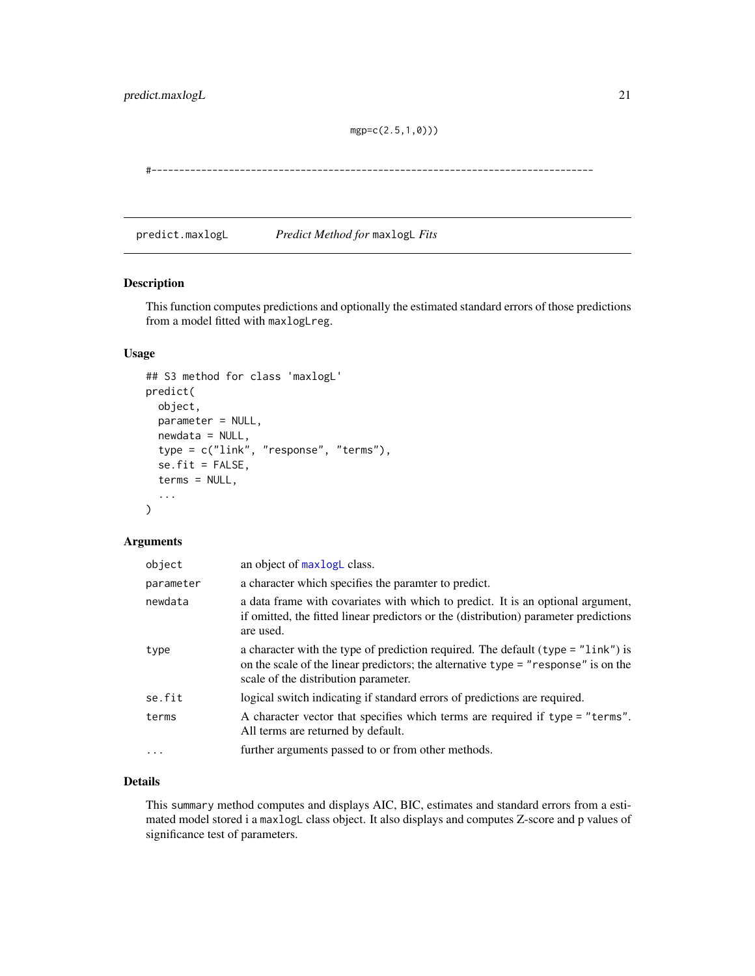mgp=c(2.5,1,0)))

<span id="page-20-0"></span>#--------------------------------------------------------------------------------

predict.maxlogL *Predict Method for* maxlogL *Fits*

#### Description

This function computes predictions and optionally the estimated standard errors of those predictions from a model fitted with maxlogLreg.

## Usage

```
## S3 method for class 'maxlogL'
predict(
 object,
 parameter = NULL,
 newdata = NULL,type = c("link", "response", "terms"),
  se.fit = FALSE,terms = NULL,
  ...
\mathcal{L}
```
## Arguments

| object    | an object of maxlogL class.                                                                                                                                                                                        |
|-----------|--------------------------------------------------------------------------------------------------------------------------------------------------------------------------------------------------------------------|
| parameter | a character which specifies the paramter to predict.                                                                                                                                                               |
| newdata   | a data frame with covariates with which to predict. It is an optional argument,<br>if omitted, the fitted linear predictors or the (distribution) parameter predictions<br>are used.                               |
| type      | a character with the type of prediction required. The default (type $=$ "link") is<br>on the scale of the linear predictors; the alternative type $=$ "response" is on the<br>scale of the distribution parameter. |
| se.fit    | logical switch indicating if standard errors of predictions are required.                                                                                                                                          |
| terms     | A character vector that specifies which terms are required if type = "terms".<br>All terms are returned by default.                                                                                                |
| $\cdot$   | further arguments passed to or from other methods.                                                                                                                                                                 |

## Details

This summary method computes and displays AIC, BIC, estimates and standard errors from a estimated model stored i a maxlogL class object. It also displays and computes Z-score and p values of significance test of parameters.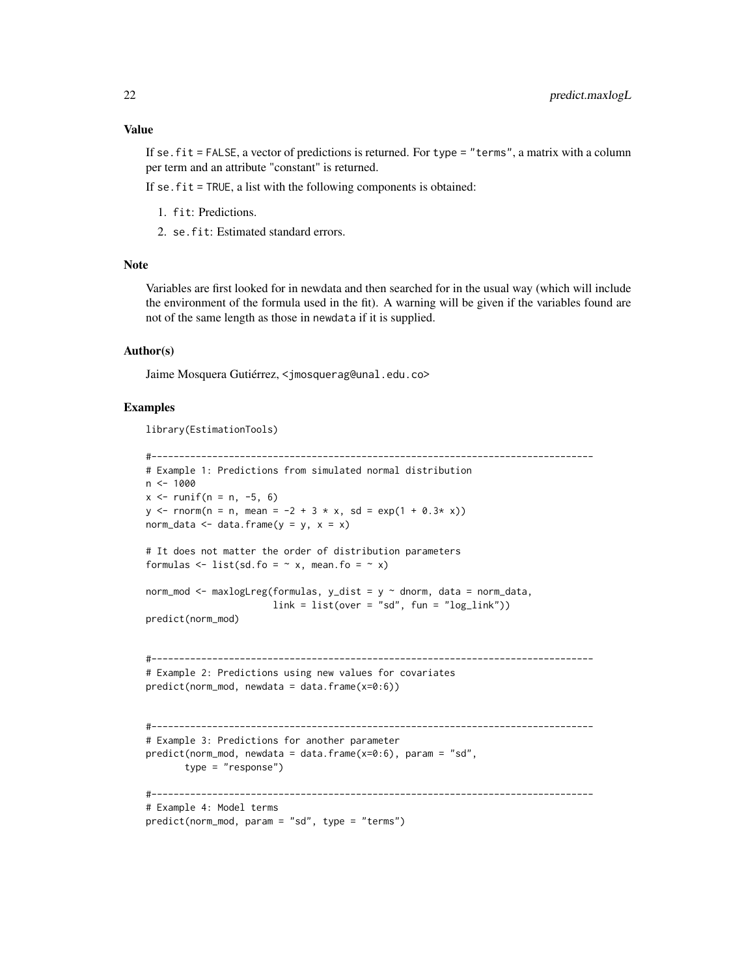#### Value

If se.fit = FALSE, a vector of predictions is returned. For type = "terms", a matrix with a column per term and an attribute "constant" is returned.

If se.fit = TRUE, a list with the following components is obtained:

- 1. fit: Predictions.
- 2. se.fit: Estimated standard errors.

#### Note

Variables are first looked for in newdata and then searched for in the usual way (which will include the environment of the formula used in the fit). A warning will be given if the variables found are not of the same length as those in newdata if it is supplied.

#### Author(s)

Jaime Mosquera Gutiérrez, <jmosquerag@unal.edu.co>

#### Examples

library(EstimationTools)

```
#--------------------------------------------------------------------------------
# Example 1: Predictions from simulated normal distribution
n <- 1000
x \le runif(n = n, -5, 6)
y \le - rnorm(n = n, mean = -2 + 3 * x, sd = exp(1 + 0.3* x))
norm_data \leq data.frame(y = y, x = x)
# It does not matter the order of distribution parameters
formulas \le list(sd.fo = \sim x, mean.fo = \sim x)
norm_mod <- maxlogLreg(formulas, y_dist = y \sim dnorm, data = norm_data,
                       link = list(over = "sd", fun = "log_link"))predict(norm_mod)
#--------------------------------------------------------------------------------
# Example 2: Predictions using new values for covariates
predict(norm_mod, newdata = data.frame(x=0:6))#--------------------------------------------------------------------------------
# Example 3: Predictions for another parameter
predict(norm_mod, newdata = data.frame(x=0:6), param = "sd",
       type = "response")
#--------------------------------------------------------------------------------
# Example 4: Model terms
predict(norm_mod, param = "sd", type = "terms")
```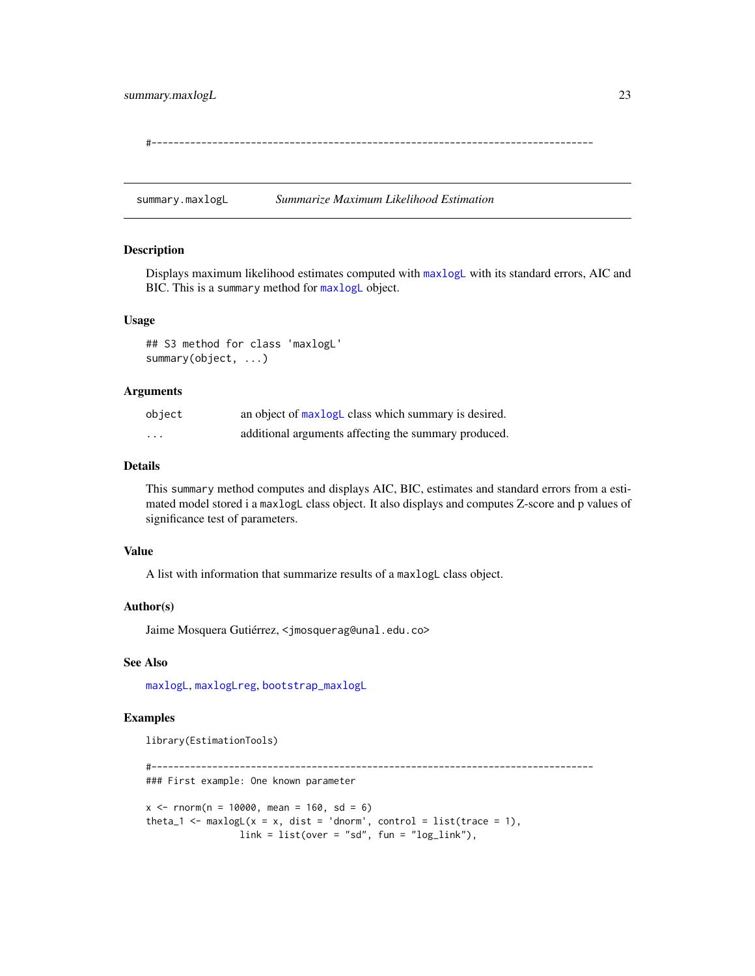<span id="page-22-0"></span>#--------------------------------------------------------------------------------

<span id="page-22-1"></span>summary.maxlogL *Summarize Maximum Likelihood Estimation*

#### Description

Displays maximum likelihood estimates computed with [maxlogL](#page-8-1) with its standard errors, AIC and BIC. This is a summary method for [maxlogL](#page-8-1) object.

#### Usage

## S3 method for class 'maxlogL' summary(object, ...)

#### **Arguments**

| object   | an object of maxlogL class which summary is desired. |
|----------|------------------------------------------------------|
| $\cdots$ | additional arguments affecting the summary produced. |

## Details

This summary method computes and displays AIC, BIC, estimates and standard errors from a estimated model stored i a maxlogL class object. It also displays and computes Z-score and p values of significance test of parameters.

#### Value

A list with information that summarize results of a maxlogL class object.

#### Author(s)

Jaime Mosquera Gutiérrez, <jmosquerag@unal.edu.co>

#### See Also

[maxlogL](#page-8-1), [maxlogLreg](#page-11-1), [bootstrap\\_maxlogL](#page-1-1)

#### Examples

```
library(EstimationTools)
```
#-------------------------------------------------------------------------------- ### First example: One known parameter  $x \le -$  rnorm(n = 10000, mean = 160, sd = 6)

theta\_1 <- maxlogL( $x = x$ , dist = 'dnorm', control = list(trace = 1),  $link = list(over = "sd", fun = "log_link"),$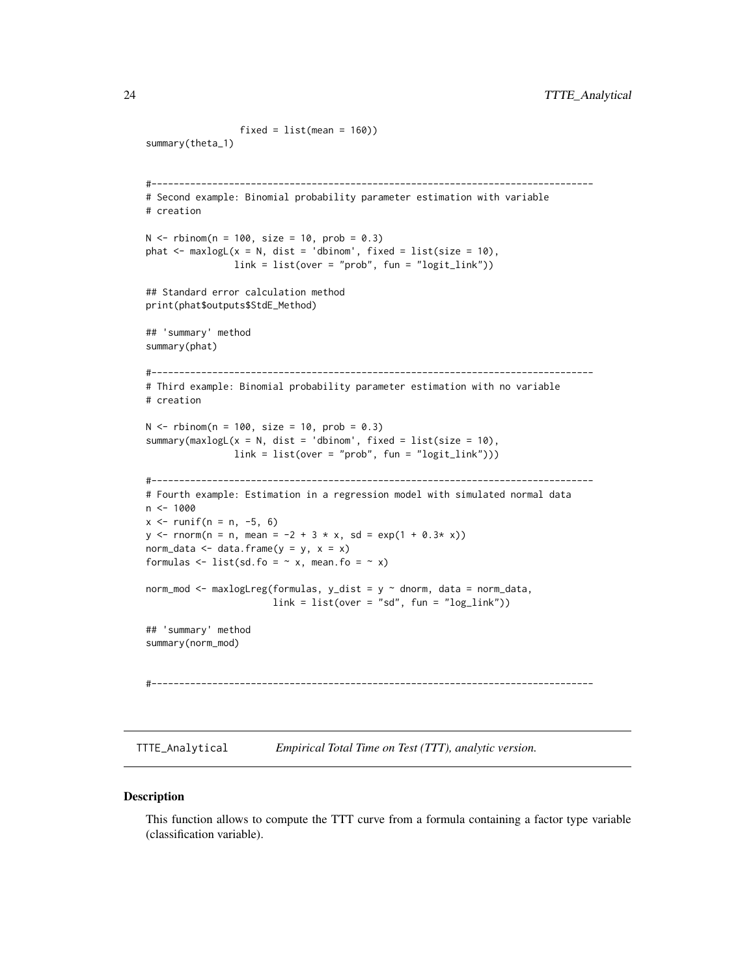```
fixed = list(mean = 160)summary(theta_1)
#--------------------------------------------------------------------------------
# Second example: Binomial probability parameter estimation with variable
# creation
N < - rbinom(n = 100, size = 10, prob = 0.3)
phat \leq maxlogL(x = N, dist = 'dbinom', fixed = list(size = 10),
                link = list(over = "prob", fun = "logit_link"))
## Standard error calculation method
print(phat$outputs$StdE_Method)
## 'summary' method
summary(phat)
#--------------------------------------------------------------------------------
# Third example: Binomial probability parameter estimation with no variable
# creation
N < - rbinom(n = 100, size = 10, prob = 0.3)
summary(maxlogL(x = N, dist = 'dbinom', fixed = list(size = 10),
               link = list(over = "prob", fun = "logit\_link"))#--------------------------------------------------------------------------------
# Fourth example: Estimation in a regression model with simulated normal data
n < - 1000x \le runif(n = n, -5, 6)
y \le - rnorm(n = n, mean = -2 + 3 * x, sd = exp(1 + 0.3* x))
norm_data <- data.frame(y = y, x = x)
formulas \le list(sd.fo = \sim x, mean.fo = \sim x)
norm_mod <- maxlogLreg(formulas, y_dist = y \sim dnorm, data = norm_data,
                       link = list(over = "sd", fun = "log\_link"))## 'summary' method
summary(norm_mod)
#--------------------------------------------------------------------------------
```
<span id="page-23-1"></span>TTTE\_Analytical *Empirical Total Time on Test (TTT), analytic version.*

#### **Description**

This function allows to compute the TTT curve from a formula containing a factor type variable (classification variable).

<span id="page-23-0"></span>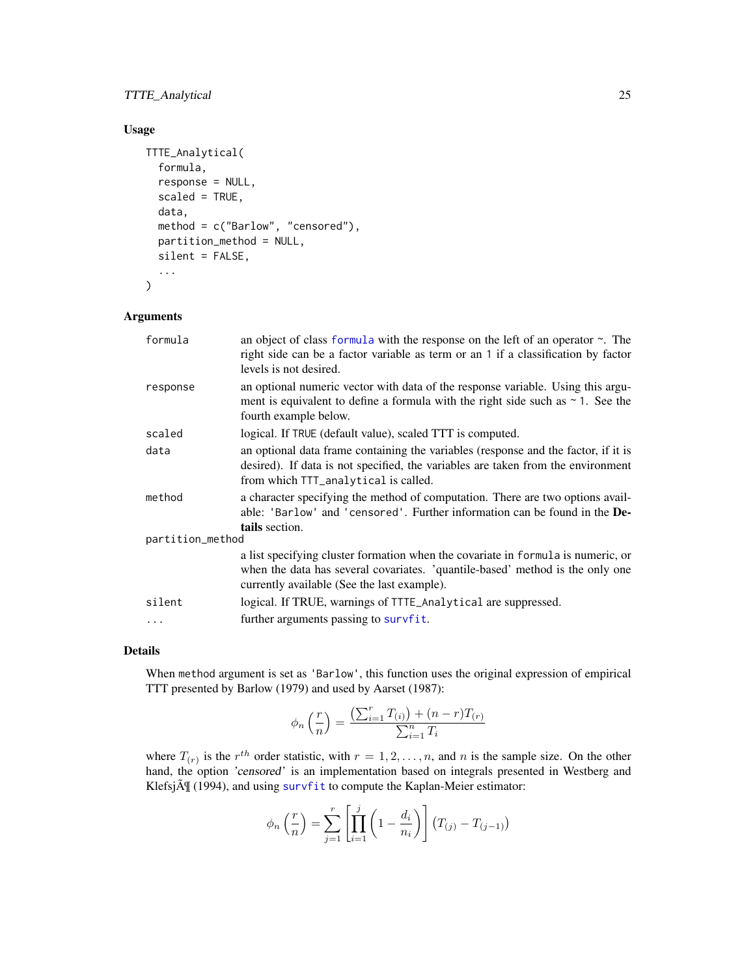## <span id="page-24-0"></span>TTTE\_Analytical 25

## Usage

```
TTTE_Analytical(
  formula,
  response = NULL,
  scaled = TRUE,
  data,
 method = c("Barlow", "censored"),
  partition_method = NULL,
  silent = FALSE,
  ...
\mathcal{L}
```
#### Arguments

| formula          | an object of class formula with the response on the left of an operator $\sim$ . The<br>right side can be a factor variable as term or an 1 if a classification by factor<br>levels is not desired.              |
|------------------|------------------------------------------------------------------------------------------------------------------------------------------------------------------------------------------------------------------|
| response         | an optional numeric vector with data of the response variable. Using this argu-<br>ment is equivalent to define a formula with the right side such as $\sim$ 1. See the<br>fourth example below.                 |
| scaled           | logical. If TRUE (default value), scaled TTT is computed.                                                                                                                                                        |
| data             | an optional data frame containing the variables (response and the factor, if it is<br>desired). If data is not specified, the variables are taken from the environment<br>from which TTT_analytical is called.   |
| method           | a character specifying the method of computation. There are two options avail-<br>able: 'Barlow' and 'censored'. Further information can be found in the <b>De-</b><br>tails section.                            |
| partition_method |                                                                                                                                                                                                                  |
|                  | a list specifying cluster formation when the covariate in formula is numeric, or<br>when the data has several covariates. 'quantile-based' method is the only one<br>currently available (See the last example). |
| silent           | logical. If TRUE, warnings of TTTE_Analytical are suppressed.                                                                                                                                                    |
| $\cdots$         | further arguments passing to survfit.                                                                                                                                                                            |

## Details

When method argument is set as 'Barlow', this function uses the original expression of empirical TTT presented by Barlow (1979) and used by Aarset (1987):

$$
\phi_n\left(\frac{r}{n}\right) = \frac{\left(\sum_{i=1}^r T_{(i)}\right) + (n-r)T_{(r)}}{\sum_{i=1}^n T_i}
$$

where  $T_{(r)}$  is the  $r^{th}$  order statistic, with  $r = 1, 2, ..., n$ , and n is the sample size. On the other hand, the option 'censored' is an implementation based on integrals presented in Westberg and Klefsj $\tilde{A}$  (1994), and using [survfit](#page-0-0) to compute the Kaplan-Meier estimator:

$$
\phi_n\left(\frac{r}{n}\right) = \sum_{j=1}^r \left[ \prod_{i=1}^j \left(1 - \frac{d_i}{n_i}\right) \right] (T_{(j)} - T_{(j-1)})
$$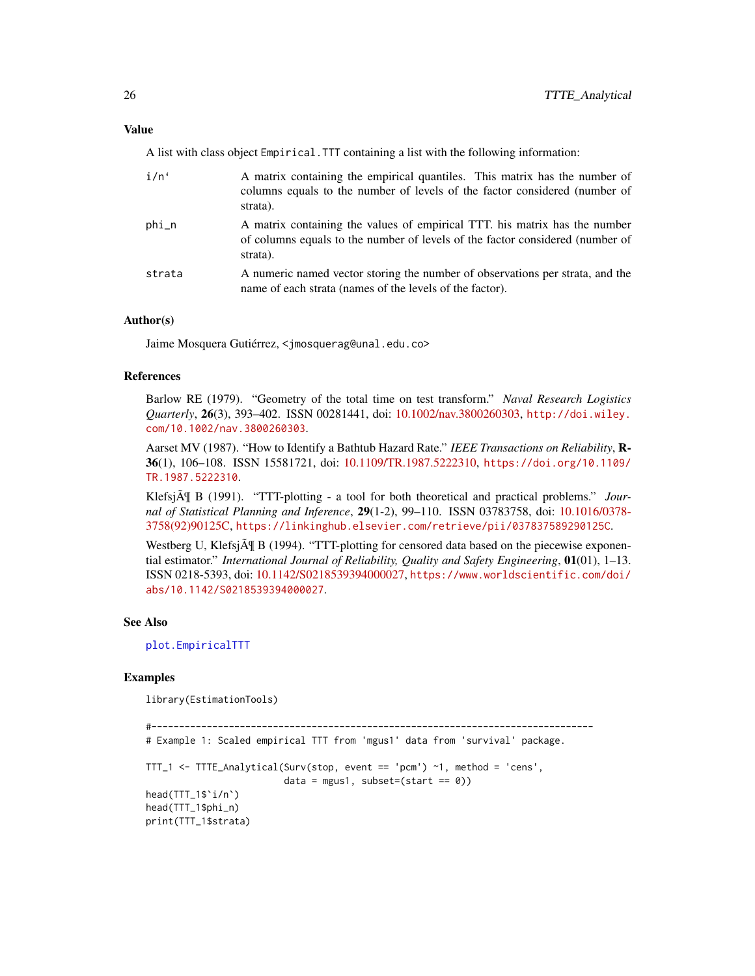#### <span id="page-25-0"></span>Value

A list with class object Empirical.TTT containing a list with the following information:

| i/n'               | A matrix containing the empirical quantiles. This matrix has the number of<br>columns equals to the number of levels of the factor considered (number of<br>strata).    |
|--------------------|-------------------------------------------------------------------------------------------------------------------------------------------------------------------------|
| $phi$ <sub>n</sub> | A matrix containing the values of empirical TTT. his matrix has the number<br>of columns equals to the number of levels of the factor considered (number of<br>strata). |
| strata             | A numeric named vector storing the number of observations per strata, and the<br>name of each strata (names of the levels of the factor).                               |

#### Author(s)

Jaime Mosquera Gutiérrez, <jmosquerag@unal.edu.co>

## References

Barlow RE (1979). "Geometry of the total time on test transform." *Naval Research Logistics Quarterly*, 26(3), 393–402. ISSN 00281441, doi: [10.1002/nav.3800260303,](https://doi.org/10.1002/nav.3800260303) [http://doi.wiley.](http://doi.wiley.com/10.1002/nav.3800260303) [com/10.1002/nav.3800260303](http://doi.wiley.com/10.1002/nav.3800260303).

Aarset MV (1987). "How to Identify a Bathtub Hazard Rate." *IEEE Transactions on Reliability*, R-36(1), 106–108. ISSN 15581721, doi: [10.1109/TR.1987.5222310,](https://doi.org/10.1109/TR.1987.5222310) [https://doi.org/10.1109/](https://doi.org/10.1109/TR.1987.5222310) [TR.1987.5222310](https://doi.org/10.1109/TR.1987.5222310).

Klefsj $\tilde{A}$  B (1991). "TTT-plotting - a tool for both theoretical and practical problems." *Journal of Statistical Planning and Inference*, 29(1-2), 99–110. ISSN 03783758, doi: [10.1016/0378-](https://doi.org/10.1016/0378-3758(92)90125-C) [3758\(92\)90125C,](https://doi.org/10.1016/0378-3758(92)90125-C) <https://linkinghub.elsevier.com/retrieve/pii/037837589290125C>.

Westberg U, Klefsj $\tilde{A}$  B (1994). "TTT-plotting for censored data based on the piecewise exponential estimator." *International Journal of Reliability, Quality and Safety Engineering*, 01(01), 1–13. ISSN 0218-5393, doi: [10.1142/S0218539394000027,](https://doi.org/10.1142/S0218539394000027) [https://www.worldscientific.com/doi/](https://www.worldscientific.com/doi/abs/10.1142/S0218539394000027) [abs/10.1142/S0218539394000027](https://www.worldscientific.com/doi/abs/10.1142/S0218539394000027).

#### See Also

[plot.EmpiricalTTT](#page-16-1)

## Examples

library(EstimationTools)

```
#--------------------------------------------------------------------------------
```
# Example 1: Scaled empirical TTT from 'mgus1' data from 'survival' package.

```
TTT_1 <- TTTE_Analytical(Surv(stop, event == 'pcm') ~1, method = 'cens',
                          data = mgus1, subset=(start == \emptyset))
```
head(TTT\_1\$`i/n`) head(TTT\_1\$phi\_n) print(TTT\_1\$strata)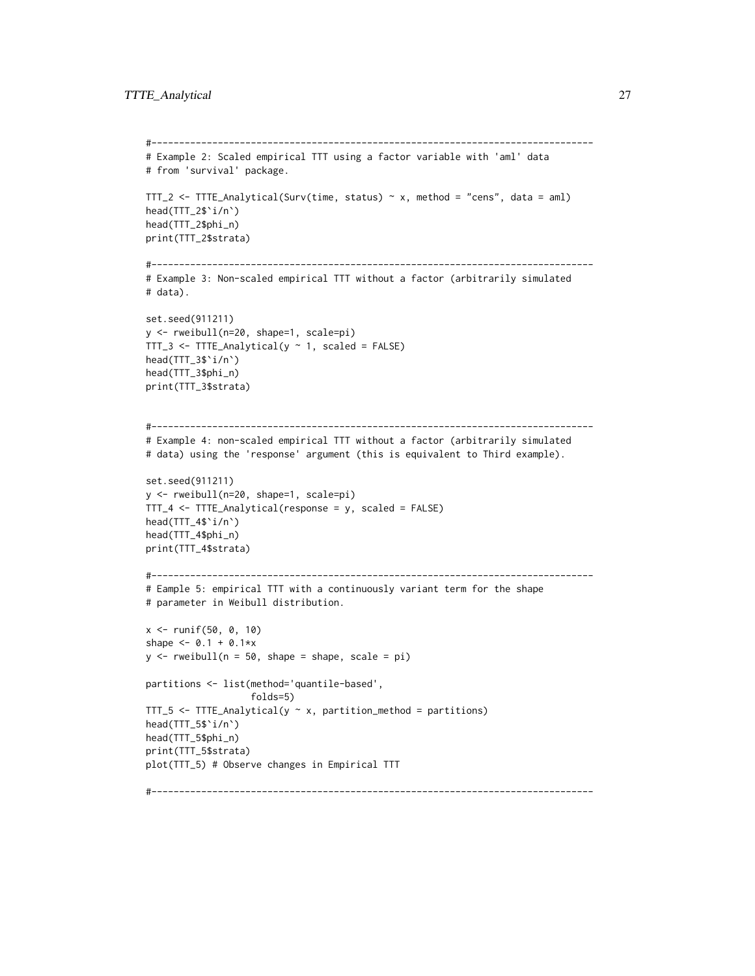```
#--------------------------------------------------------------------------------
# Example 2: Scaled empirical TTT using a factor variable with 'aml' data
# from 'survival' package.
TTT_2 <- TTTE_Analytical(Surv(time, status) ~ x, method = "cens", data = aml)
head(TTT_2$`i/n`)
head(TTT_2$phi_n)
print(TTT_2$strata)
#--------------------------------------------------------------------------------
# Example 3: Non-scaled empirical TTT without a factor (arbitrarily simulated
# data).
set.seed(911211)
y <- rweibull(n=20, shape=1, scale=pi)
TTT_3 <- TTTE_Analytical(y \sim 1, scaled = FALSE)
head(TTT_3$`i/n`)
head(TTT_3$phi_n)
print(TTT_3$strata)
#--------------------------------------------------------------------------------
# Example 4: non-scaled empirical TTT without a factor (arbitrarily simulated
# data) using the 'response' argument (this is equivalent to Third example).
set.seed(911211)
y <- rweibull(n=20, shape=1, scale=pi)
TTT_4 <- TTTE_Analytical(response = y, scaled = FALSE)
head(TTT_4$`i/n`)
head(TTT_4$phi_n)
print(TTT_4$strata)
#--------------------------------------------------------------------------------
# Eample 5: empirical TTT with a continuously variant term for the shape
# parameter in Weibull distribution.
x <- runif(50, 0, 10)
shape <-0.1 + 0.1*xy \le - rweibull(n = 50, shape = shape, scale = pi)
partitions <- list(method='quantile-based',
                   folds=5)
TTT_5 <- TTTE_Analytical(y \sim x, partition_method = partitions)
head(TTT_5$`i/n`)
head(TTT_5$phi_n)
print(TTT_5$strata)
plot(TTT_5) # Observe changes in Empirical TTT
#--------------------------------------------------------------------------------
```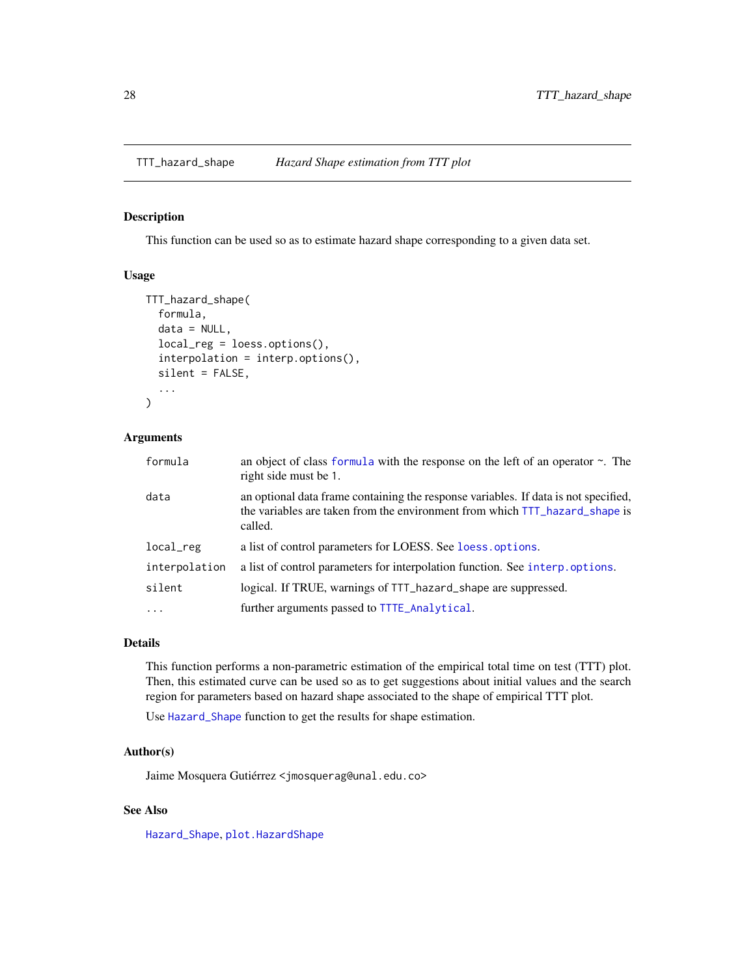<span id="page-27-1"></span><span id="page-27-0"></span>

## Description

This function can be used so as to estimate hazard shape corresponding to a given data set.

#### Usage

```
TTT_hazard_shape(
  formula,
  data = NULL,local_reg = loess.options(),
  interpolation = interp.options(),
  silent = FALSE,
  ...
)
```
#### Arguments

| formula       | an object of class formula with the response on the left of an operator $\sim$ . The<br>right side must be 1.                                                                 |
|---------------|-------------------------------------------------------------------------------------------------------------------------------------------------------------------------------|
| data          | an optional data frame containing the response variables. If data is not specified,<br>the variables are taken from the environment from which TTT_hazard_shape is<br>called. |
| local_reg     | a list of control parameters for LOESS. See loess. options.                                                                                                                   |
| interpolation | a list of control parameters for interpolation function. See interp. options.                                                                                                 |
| silent        | logical. If TRUE, warnings of TTT_hazard_shape are suppressed.                                                                                                                |
| $\cdots$      | further arguments passed to TTTE_Analytical.                                                                                                                                  |

#### Details

This function performs a non-parametric estimation of the empirical total time on test (TTT) plot. Then, this estimated curve can be used so as to get suggestions about initial values and the search region for parameters based on hazard shape associated to the shape of empirical TTT plot.

Use [Hazard\\_Shape](#page-3-1) function to get the results for shape estimation.

## Author(s)

Jaime Mosquera Gutiérrez <jmosquerag@unal.edu.co>

#### See Also

[Hazard\\_Shape](#page-3-1), [plot.HazardShape](#page-17-1)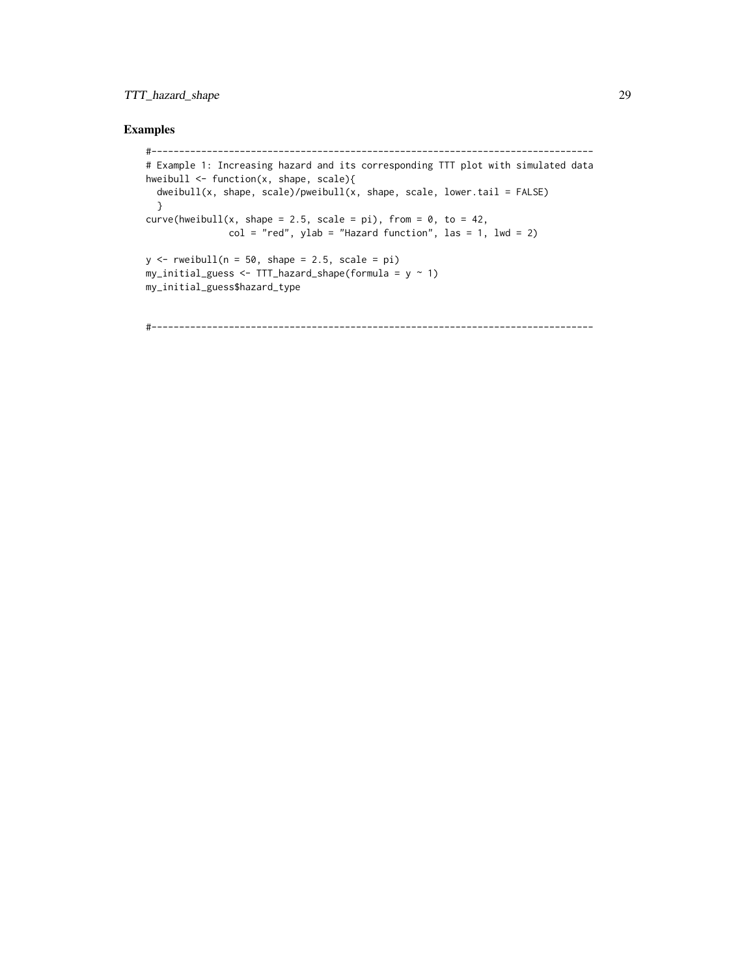## TTT\_hazard\_shape 29

## Examples

```
#--------------------------------------------------------------------------------
# Example 1: Increasing hazard and its corresponding TTT plot with simulated data
hweibull <- function(x, shape, scale){
  dweibull(x, shape, scale)/pweibull(x, shape, scale, lower.tail = FALSE)
  }
curve(hweibull(x, shape = 2.5, scale = pi), from = 0, to = 42,
               col = "red", ylab = "Hazard function", las = 1, lw = 2)y \le - rweibull(n = 50, shape = 2.5, scale = pi)
my\_initial\_guess \leftarrow TTT\_hazard\_shape(formula = y \sim 1)my_initial_guess$hazard_type
```
#--------------------------------------------------------------------------------